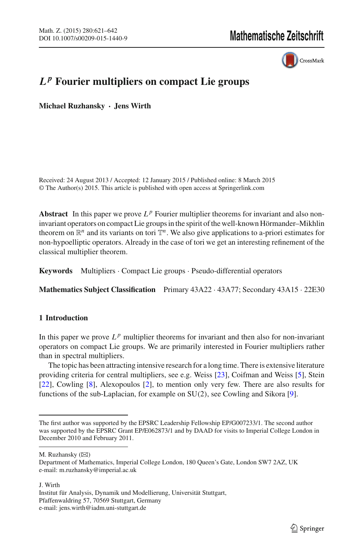CrossMark

# *L <sup>p</sup>* **Fourier multipliers on compact Lie groups**

**Michael Ruzhansky · Jens Wirth**

Received: 24 August 2013 / Accepted: 12 January 2015 / Published online: 8 March 2015 © The Author(s) 2015. This article is published with open access at Springerlink.com

**Abstract** In this paper we prove  $L^p$  Fourier multiplier theorems for invariant and also noninvariant operators on compact Lie groups in the spirit of the well-known Hörmander–Mikhlin theorem on  $\mathbb{R}^n$  and its variants on tori  $\mathbb{T}^n$ . We also give applications to a-priori estimates for non-hypoelliptic operators. Already in the case of tori we get an interesting refinement of the classical multiplier theorem.

**Keywords** Multipliers · Compact Lie groups · Pseudo-differential operators

**Mathematics Subject Classification** Primary 43A22 · 43A77; Secondary 43A15 · 22E30

# **1 Introduction**

In this paper we prove  $L^p$  multiplier theorems for invariant and then also for non-invariant operators on compact Lie groups. We are primarily interested in Fourier multipliers rather than in spectral multipliers.

The topic has been attracting intensive research for a long time. There is extensive literature providing criteria for central multipliers, see e.g. Weiss [\[23](#page-21-0)], Coifman and Weiss [\[5](#page-20-0)], Stein [\[22\]](#page-21-1), Cowling [\[8](#page-20-1)], Alexopoulos [\[2\]](#page-20-2), to mention only very few. There are also results for functions of the sub-Laplacian, for example on SU(2), see Cowling and Sikora [\[9\]](#page-20-3).

M. Ruzhansky  $(\boxtimes)$ 

J. Wirth

The first author was supported by the EPSRC Leadership Fellowship EP/G007233/1. The second author was supported by the EPSRC Grant EP/E062873/1 and by DAAD for visits to Imperial College London in December 2010 and February 2011.

Department of Mathematics, Imperial College London, 180 Queen's Gate, London SW7 2AZ, UK e-mail: m.ruzhansky@imperial.ac.uk

Institut für Analysis, Dynamik und Modellierung, Universität Stuttgart, Pfaffenwaldring 57, 70569 Stuttgart, Germany e-mail: jens.wirth@iadm.uni-stuttgart.de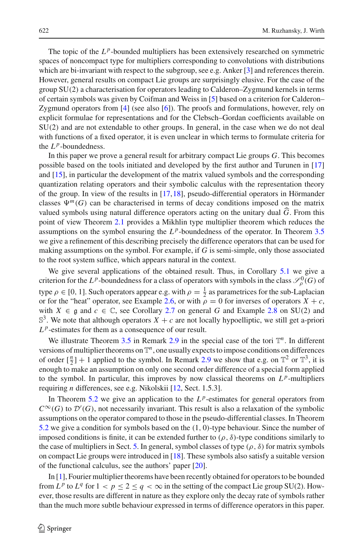The topic of the  $L^p$ -bounded multipliers has been extensively researched on symmetric spaces of noncompact type for multipliers corresponding to convolutions with distributions which are bi-invariant with respect to the subgroup, see e.g. Anker [\[3](#page-20-4)] and references therein. However, general results on compact Lie groups are surprisingly elusive. For the case of the group SU(2) a characterisation for operators leading to Calderon–Zygmund kernels in terms of certain symbols was given by Coifman and Weiss in [\[5\]](#page-20-0) based on a criterion for Calderon– Zygmund operators from [\[4\]](#page-20-5) (see also [\[6\]](#page-20-6)). The proofs and formulations, however, rely on explicit formulae for representations and for the Clebsch–Gordan coefficients available on SU(2) and are not extendable to other groups. In general, in the case when we do not deal with functions of a fixed operator, it is even unclear in which terms to formulate criteria for the  $L^p$ -boundedness.

In this paper we prove a general result for arbitrary compact Lie groups *G*. This becomes possible based on the tools initiated and developed by the first author and Turunen in [\[17\]](#page-20-7) and [\[15\]](#page-20-8), in particular the development of the matrix valued symbols and the corresponding quantization relating operators and their symbolic calculus with the representation theory of the group. In view of the results in [\[17](#page-20-7)[,18\]](#page-20-9), pseudo-differential operators in Hörmander classes  $\Psi^{m}(G)$  can be characterised in terms of decay conditions imposed on the matrix valued symbols using natural difference operators acting on the unitary dual *G* . From this point of view Theorem [2.1](#page-4-0) provides a Mikhlin type multiplier theorem which reduces the assumptions on the symbol ensuring the  $L^p$ -boundedness of the operator. In Theorem [3.5](#page-11-0) we give a refinement of this describing precisely the difference operators that can be used for making assumptions on the symbol. For example, if *G* is semi-simple, only those associated to the root system suffice, which appears natural in the context.

We give several applications of the obtained result. Thus, in Corollary [5.1](#page-17-0) we give a criterion for the *L*<sup>*p*</sup>-boundedness for a class of operators with symbols in the class  $\mathcal{S}_{\rho}^{0}(G)$  of type  $\rho \in [0, 1]$ . Such operators appear e.g. with  $\rho = \frac{1}{2}$  as parametrices for the sub-Laplacian or for the "heat" operator, see Example [2.6,](#page-5-0) or with  $\rho = 0$  for inverses of operators  $X + c$ , with  $X \in \mathfrak{g}$  and  $c \in \mathbb{C}$ , see Corollary [2.7](#page-5-1) on general G and Example [2.8](#page-6-0) on SU(2) and  $\mathbb{S}^3$ . We note that although operators  $X + c$  are not locally hypoelliptic, we still get a-priori  $L^p$ -estimates for them as a consequence of our result.

We illustrate Theorem [3.5](#page-11-0) in Remark [2.9](#page-6-1) in the special case of the tori  $\mathbb{T}^n$ . In different versions of multiplier theorems on  $\mathbb{T}^n$ , one usually expects to impose conditions on differences of order  $\lbrack \frac{n}{2} \rbrack + 1$  applied to the symbol. In Remark [2.9](#page-6-1) we show that e.g. on  $\mathbb{T}^2$  or  $\mathbb{T}^3$ , it is enough to make an assumption on only one second order difference of a special form applied to the symbol. In particular, this improves by now classical theorems on  $L^p$ -multipliers requiring *n* differences, see e.g. Nikolskii [\[12,](#page-20-10) Sect. 1.5.3].

In Theorem [5.2](#page-19-0) we give an application to the  $L^p$ -estimates for general operators from  $C^{\infty}(G)$  to  $\mathcal{D}'(G)$ , not necessarily invariant. This result is also a relaxation of the symbolic assumptions on the operator compared to those in the pseudo-differential classes. In Theorem [5.2](#page-19-0) we give a condition for symbols based on the (1, 0)-type behaviour. Since the number of imposed conditions is finite, it can be extended further to  $(\rho, \delta)$ -type conditions similarly to the case of multipliers in Sect. [5.](#page-16-0) In general, symbol classes of type  $(\rho, \delta)$  for matrix symbols on compact Lie groups were introduced in [\[18\]](#page-20-9). These symbols also satisfy a suitable version of the functional calculus, see the authors' paper [\[20\]](#page-21-2).

In [\[1\]](#page-20-11), Fourier multiplier theorems have been recently obtained for operators to be bounded from  $L^p$  to  $L^q$  for  $1 < p \le 2 \le q < \infty$  in the setting of the compact Lie group SU(2). However, those results are different in nature as they explore only the decay rate of symbols rather than the much more subtle behaviour expressed in terms of difference operators in this paper.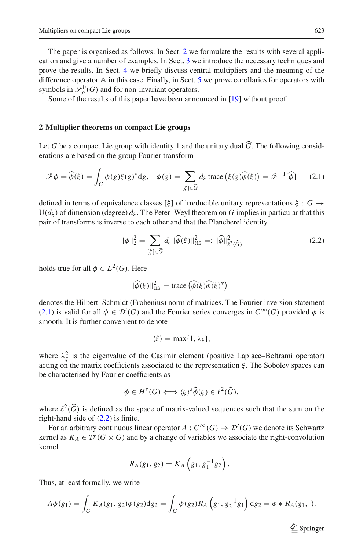The paper is organised as follows. In Sect. [2](#page-2-0) we formulate the results with several application and give a number of examples. In Sect. [3](#page-7-0) we introduce the necessary techniques and prove the results. In Sect. [4](#page-12-0) we briefly discuss central multipliers and the meaning of the difference operator  $\triangle$  in this case. Finally, in Sect. [5](#page-16-0) we prove corollaries for operators with symbols in  $\mathcal{S}_{\rho}^{0}(G)$  and for non-invariant operators.

Some of the results of this paper have been announced in [\[19](#page-21-3)] without proof.

### <span id="page-2-0"></span>**2 Multiplier theorems on compact Lie groups**

Let *G* be a compact Lie group with identity 1 and the unitary dual  $\hat{G}$ . The following considerations are based on the group Fourier transform<br>  $\mathscr{F}\phi = \hat{\phi}(\xi) = \int_{\hat{G}} \phi(g)\xi(g)^* dg, \quad \phi(g) = \sum d_{\xi} \text{ trace}(\xi(g)\hat{\phi}(\xi)) = \mathscr{F}$ 

<span id="page-2-1"></span>Let G be a compact Lie group with identity 1 and the dina's dual G. The following considerations are based on the group Fourier transform

\n
$$
\mathcal{F}\phi = \widehat{\phi}(\xi) = \int_G \phi(g)\xi(g)^* dg, \quad \phi(g) = \sum_{[\xi] \in \widehat{G}} d_{\xi} \text{ trace}\left(\xi(g)\widehat{\phi}(\xi)\right) = \mathcal{F}^{-1}[\widehat{\phi}] \tag{2.1}
$$

defined in terms of equivalence classes [ξ] of irreducible unitary representations  $\xi : G \rightarrow$ U( $d_{\xi}$ ) of dimension (degree)  $d_{\xi}$ . The Peter–Weyl theorem on *G* implies in particular that this pair of transforms is inverse to each other and that the Plancherel identity<br>  $\|\phi\|_2^2 = \sum d_{\xi} \|\widehat{\phi}(\xi)\|_{\text{HS}}^2 =:$ pair of transforms is inverse to each other and that the Plancherel identity er–Weyl<br>er and th:<br> $d_{\xi} \|\widehat{\phi}(\xi)$  $\epsilon$ 

$$
\|\phi\|_2^2 = \sum_{[\xi] \in \widehat{G}} d_{\xi} \|\widehat{\phi}(\xi)\|_{\text{HS}}^2 =: \|\widehat{\phi}\|_{\ell^2(\widehat{G})}^2 \tag{2.2}
$$

<span id="page-2-2"></span>holds true for all  $\phi \in L^2(G)$ . Here

Here  
\n
$$
\|\hat{\phi}(\xi)\|_{\text{HS}}^2 = \text{trace}\left(\hat{\phi}(\xi)\hat{\phi}(\xi)^*\right)
$$

denotes the Hilbert–Schmidt (Frobenius) norm of matrices. The Fourier inversion statement [\(2.1\)](#page-2-1) is valid for all  $\phi \in \mathcal{D}'(G)$  and the Fourier series converges in  $C^{\infty}(G)$  provided  $\phi$  is smooth. It is further convenient to denote

$$
\langle \xi \rangle = \max\{1, \lambda_{\xi}\},
$$

where  $\lambda_{\xi}^{2}$  is the eigenvalue of the Casimir element (positive Laplace–Beltrami operator) acting on the matrix coefficients associated to the representation  $\xi$ . The Sobolev spaces can<br>be characterised by Fourier coefficients as<br> $\phi \in H^s(G) \iff \langle \xi \rangle^s \widehat{\phi}(\xi) \in \ell^2(\widehat{G}),$ be characterised by Fourier coefficients as

$$
\phi \in H^s(G) \Longleftrightarrow \langle \xi \rangle^s \widehat{\phi}(\xi) \in \ell^2(\widehat{G}),
$$

where  $\ell^2(\widehat{G})$  is defined as the space of matrix-valued sequences such that the sum on the right-hand side of [\(2.2\)](#page-2-2) is finite.

For an arbitrary continuous linear operator  $A: C^{\infty}(G) \to \mathcal{D}'(G)$  we denote its Schwartz kernel as  $K_A \in \mathcal{D}'(G \times G)$  and by a change of variables we associate the right-convolution kernel

$$
R_A(g_1, g_2) = K_A\left(g_1, g_1^{-1}g_2\right).
$$

Thus, at least formally, we write

$$
A\phi(g_1) = \int_G K_A(g_1, g_2)\phi(g_2)dg_2 = \int_G \phi(g_2)R_A(g_1, g_2^{-1}g_1) dg_2 = \phi * R_A(g_1, \cdot).
$$

 $\circled{2}$  Springer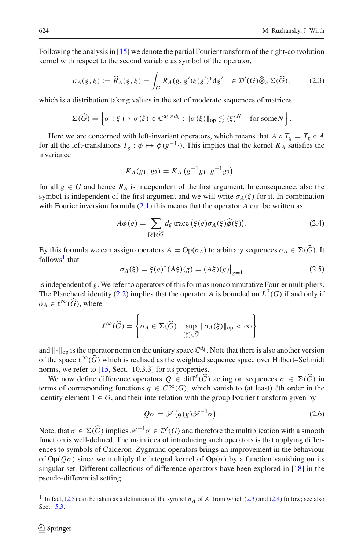Following the analysis in [\[15](#page-20-8)] we denote the partial Fourier transform of the right-convolution kernel with respect to the second variable as symbol of the operator,  $\overline{\mathbf{u}}$ 

the analysis in [13] we denote the partial Fourier transform of the right-  
bin respect to the second variable as symbol of the operator,  

$$
\sigma_A(g, \xi) := \widehat{R}_A(g, \xi) = \int_G R_A(g, g') \xi(g')^* dg' \in \mathcal{D}'(G) \widehat{\otimes}_{\pi} \Sigma(\widehat{G}),
$$
(2.3)

<span id="page-3-2"></span>which is a distribution taking values in the set of moderate sequences of matrices

$$
\Sigma(\widehat{G}) = \left\{ \sigma : \xi \mapsto \sigma(\xi) \in \mathbb{C}^{d_{\xi} \times d_{\xi}} : ||\sigma(\xi)||_{\text{op}} \lesssim \langle \xi \rangle^N \quad \text{for some } N \right\}.
$$

Here we are concerned with left-invariant operators, which means that  $A \circ T_g = T_g \circ A$ for all the left-translations  $T_g : \phi \mapsto \phi(g^{-1} \cdot)$ . This implies that the kernel  $K_A$  satisfies the invariance

$$
K_A(g_1, g_2) = K_A(g^{-1}g_1, g^{-1}g_2)
$$

for all  $g \in G$  and hence  $R_A$  is independent of the first argument. In consequence, also the symbol is independent of the first argument and we will write σ<sub>*A*</sub>(ξ) for it. In combination with Fourier inversion formula (2.1) this means that the operator *A* can be written as  $A\phi(g) = \sum d_{\xi}$  trace (ξ(*g*) σ<sub>*A*</sub>( with Fourier inversion formula [\(2.1\)](#page-2-1) this means that the operator *A* can be written as *we* will write *σ*<sub>*A*</sub><br>the operator<br> $\xi(g)σ<sub>A</sub>(\xi)\hat{\phi}(\xi)$ 

$$
A\phi(g) = \sum_{[\xi]\in\widehat{G}} d_{\xi} \operatorname{trace} (\xi(g)\sigma_A(\xi)\widehat{\phi}(\xi)).
$$
 (2.4)

<span id="page-3-3"></span>By this formula we can assign operators  $A = \text{Op}(\sigma_A)$  to arbitrary sequences  $\sigma_A \in \Sigma(G)$ . It follows<sup>[1](#page-3-0)</sup> that

$$
\sigma_A(\xi) = \xi(g)^*(A\xi)(g) = (A\xi)(g)\big|_{g=1}
$$
\n(2.5)

<span id="page-3-1"></span>is independent of *g*. We refer to operators of this form as noncommutative Fourier multipliers. The Plancherel identity [\(2.2\)](#page-2-2) implies that the operator *A* is bounded on  $L^2(G)$  if and only if  $\sigma_A \in \ell^{\infty}(G)$ , where operators of this form as noncommutative

$$
\ell^{\infty}(\widehat{G}) = \left\{ \sigma_A \in \Sigma(\widehat{G}) : \sup_{[\xi] \in \widehat{G}} \|\sigma_A(\xi)\|_{\text{op}} < \infty \right\},\
$$

and  $\|\cdot\|_{\text{op}}$  is the operator norm on the unitary space  $\mathbb{C}^{d_{\xi}}$ . Note that there is also another version of the space  $\ell^{\infty}(G)$  which is realised as the weighted sequence space over Hilbert–Schmidt norms, we refer to [\[15,](#page-20-8) Sect. 10.3.3] for its properties.

We now define difference operators  $Q \in \text{diff}^{\ell}(\widehat{G})$  acting on sequences  $\sigma \in \Sigma(\widehat{G})$  in terms of corresponding functions  $q \in C^{\infty}(G)$ , which vanish to (at least)  $\ell$ th order in the identity element  $1 \in G$ , and their interrelation with the group Fourier transform given by<br> $Q\sigma = \mathscr{F}(q(g)\mathscr{F}^{-1}\sigma)$ . (2.6) identity element  $1 \in G$ , and their interrelation with the group Fourier transform given by

$$
Q\sigma = \mathscr{F}\left(q(g)\mathscr{F}^{-1}\sigma\right). \tag{2.6}
$$

Note, that  $\sigma \in \Sigma(\widehat{G})$  implies  $\mathscr{F}^{-1}\sigma \in \mathcal{D}'(G)$  and therefore the multiplication with a smooth function is well-defined. The main idea of introducing such operators is that applying differences to symbols of Calderon–Zygmund operators brings an improvement in the behaviour of  $Op(Q\sigma)$  since we multiply the integral kernel of  $Op(\sigma)$  by a function vanishing on its singular set. Different collections of difference operators have been explored in [\[18\]](#page-20-9) in the pseudo-differential setting.

<span id="page-3-0"></span><sup>&</sup>lt;sup>1</sup> In fact, [\(2.5\)](#page-3-1) can be taken as a definition of the symbol  $\sigma_A$  of *A*, from which [\(2.3\)](#page-3-2) and [\(2.4\)](#page-3-3) follow; see also Sect. [5.3.](#page-18-0)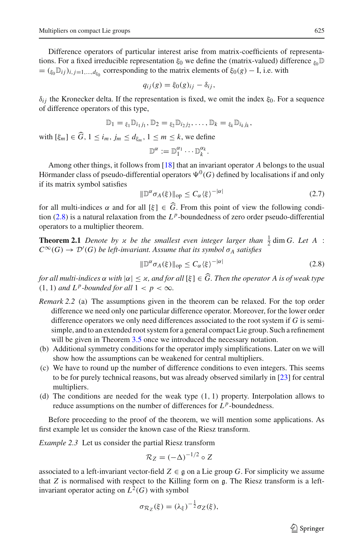Difference operators of particular interest arise from matrix-coefficients of representations. For a fixed irreducible representation  $\xi_0$  we define the (matrix-valued) difference  $\xi_0 \mathbb{D}$  $= (\xi_0 \mathbb{D}_{ij})_{i,j=1,\dots,d_{\xi_0}}$  corresponding to the matrix elements of  $\xi_0(g) - I$ , i.e. with

$$
q_{ij}(g) = \xi_0(g)_{ij} - \delta_{ij},
$$

 $\delta_{ij}$  the Kronecker delta. If the representation is fixed, we omit the index  $\xi_0$ . For a sequence of difference operators of this type, -

$$
\mathbb{D}_1 = \xi_1 \mathbb{D}_{i_1 j_1}, \mathbb{D}_2 = \xi_2 \mathbb{D}_{i_2 j_2}, \dots, \mathbb{D}_k = \xi_k \mathbb{D}_{i_k j_k},
$$

with  $[\xi_m] \in G$ ,  $1 \le i_m$ ,  $j_m \le d_{\xi_m}$ ,  $1 \le m \le k$ , we define

$$
\mathbb{D}^{\alpha}:=\mathbb{D}_1^{\alpha_1}\cdots\mathbb{D}_k^{\alpha_k}.
$$

Among other things, it follows from [\[18\]](#page-20-9) that an invariant operator *A* belongs to the usual Hörmander class of pseudo-differential operators  $\Psi^0(G)$  defined by localisations if and only if its matrix symbol satisfies

$$
\|\mathbb{D}^{\alpha}\sigma_A(\xi)\|_{\text{op}} \le C_{\alpha}\langle \xi \rangle^{-|\alpha|} \tag{2.7}
$$

for all multi-indices  $\alpha$  and for all  $[\xi] \in G$ . From this point of view the following condi-tion [\(2.8\)](#page-4-1) is a natural relaxation from the  $L^p$ -boundedness of zero order pseudo-differential operators to a multiplier theorem.

<span id="page-4-0"></span>**Theorem 2.1** *Denote by*  $\alpha$  *be the smallest even integer larger than*  $\frac{1}{2}$  dim *G. Let A* :  $C^{\infty}(G) \to \mathcal{D}'(G)$  *be left-invariant. Assume that its symbol*  $\sigma_A$  *satisfies* 

$$
\|\mathbb{D}^{\alpha}\sigma_A(\xi)\|_{\text{op}} \le C_{\alpha}\langle \xi \rangle^{-|\alpha|} \tag{2.8}
$$

<span id="page-4-1"></span> $f(\mathcal{C}^{\infty}(G) \to \mathcal{D}'(G)$  be left-invariant. Assume that its symbol  $\sigma_A$  satisfies<br>  $\|\mathbb{D}^{\alpha}\sigma_A(\xi)\|_{\text{op}} \leq C_{\alpha} \langle \xi \rangle^{-|\alpha|}$  (2.8)<br> *for all multi-indices*  $\alpha$  with  $|\alpha| \leq \varkappa$ , and for all  $[\xi] \in \widehat{G}$ . Then th  $(1, 1)$  *and*  $L^p$ -bounded for all  $1 < p < \infty$ .

- *Remark 2.2* (a) The assumptions given in the theorem can be relaxed. For the top order difference we need only one particular difference operator. Moreover, for the lower order difference operators we only need differences associated to the root system if *G* is semisimple, and to an extended root system for a general compact Lie group. Such a refinement will be given in Theorem [3.5](#page-11-0) once we introduced the necessary notation.
- (b) Additional symmetry conditions for the operator imply simplifications. Later on we will show how the assumptions can be weakened for central multipliers.
- (c) We have to round up the number of difference conditions to even integers. This seems to be for purely technical reasons, but was already observed similarly in [\[23\]](#page-21-0) for central multipliers.
- (d) The conditions are needed for the weak type  $(1, 1)$  property. Interpolation allows to reduce assumptions on the number of differences for *L <sup>p</sup>*-boundedness.

<span id="page-4-2"></span>Before proceeding to the proof of the theorem, we will mention some applications. As first example let us consider the known case of the Riesz transform.

*Example 2.3* Let us consider the partial Riesz transform

$$
\mathcal{R}_Z = (-\Delta)^{-1/2} \circ Z
$$

associated to a left-invariant vector-field  $Z \in \mathfrak{g}$  on a Lie group G. For simplicity we assume that *<sup>Z</sup>* is normalised with respect to the Killing form on g. The Riesz transform is a leftinvariant operator acting on  $L^2(G)$  with symbol

$$
\sigma_{\mathcal{R}_Z}(\xi) = (\lambda_{\xi})^{-\frac{1}{2}} \sigma_Z(\xi),
$$

 $\circled{2}$  Springer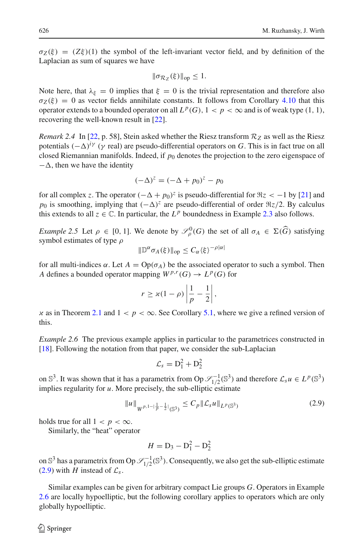$\sigma_Z(\xi) = (Z\xi)(1)$  the symbol of the left-invariant vector field, and by definition of the Laplacian as sum of squares we have

$$
\|\sigma_{\mathcal{R}_Z}(\xi)\|_{\text{op}} \leq 1.
$$

Note here, that  $\lambda_{\xi} = 0$  implies that  $\xi = 0$  is the trivial representation and therefore also  $\sigma_Z(\xi) = 0$  as vector fields annihilate constants. It follows from Corollary [4.10](#page-16-1) that this operator extends to a bounded operator on all  $L^p(G)$ ,  $1 < p < \infty$  and is of weak type (1, 1), recovering the well-known result in [\[22\]](#page-21-1).

*Remark 2.4* In [\[22,](#page-21-1) p. 58], Stein asked whether the Riesz transform  $R_z$  as well as the Riesz potentials  $(-\Delta)^{i\gamma}$  (γ real) are pseudo-differential operators on *G*. This is in fact true on all closed Riemannian manifolds. Indeed, if  $p_0$  denotes the projection to the zero eigenspace of  $-\Delta$ , then we have the identity

$$
(-\Delta)^z = (-\Delta + p_0)^z - p_0
$$

for all complex *z*. The operator  $(-\Delta + p_0)^z$  is pseudo-differential for  $\Re z < -1$  by [\[21\]](#page-21-4) and *p*<sub>0</sub> is smoothing, implying that  $(-\Delta)^z$  are pseudo-differential of order  $\Re z/2$ . By calculus this extends to all  $z \in \mathbb{C}$ . In particular, the  $L^p$  boundedness in Example [2.3](#page-4-2) also follows.

*Example 2.5* Let  $\rho \in [0, 1]$ . We denote by  $\mathscr{S}_{\rho}^{0}(G)$  the set of all  $\sigma_A \in \Sigma(\widehat{G})$  satisfying symbol estimates of type ρ

$$
\|\mathbb{D}^{\alpha}\sigma_A(\xi)\|_{\text{op}} \leq C_{\alpha}\langle \xi \rangle^{-\rho|\alpha|}
$$

for all multi-indices  $\alpha$ . Let  $A = \text{Op}(\sigma_A)$  be the associated operator to such a symbol. Then *A* defines a bounded operator mapping  $W^{p,r}(G) \to L^p(G)$  for  $\ddot{\phantom{0}}$  $\mathfrak{u}$ 

$$
r \ge \varkappa (1 - \rho) \left| \frac{1}{p} - \frac{1}{2} \right|,
$$

x as in Theorem [2.1](#page-4-0) and  $1 < p < \infty$ . See Corollary [5.1,](#page-17-0) where we give a refined version of this.

<span id="page-5-0"></span>*Example 2.6* The previous example applies in particular to the parametrices constructed in [\[18\]](#page-20-9). Following the notation from that paper, we consider the sub-Laplacian

$$
\mathcal{L}_s = \mathbf{D}_1^2 + \mathbf{D}_2^2
$$

on  $\mathbb{S}^3$ . It was shown that it has a parametrix from Op  $\mathscr{S}^{-1}_{1/2}(\mathbb{S}^3)$  and therefore  $\mathscr{L}_s u \in L^p(\mathbb{S}^3)$ implies regularity for *u*. More precisely, the sub-elliptic estimate

$$
||u||_{W^{p,1-|\frac{1}{p}-\frac{1}{2}|}(\mathbb{S}^3)} \leq C_p ||\mathcal{L}_s u||_{L^p(\mathbb{S}^3)}
$$
\n(2.9)

<span id="page-5-2"></span>holds true for all  $1 < p < \infty$ .

Similarly, the "heat" operator

$$
H = D_3 - D_1^2 - D_2^2
$$

on  $\mathbb{S}^3$  has a parametrix from Op  $\mathscr{S}^{-1}_{1/2}(\mathbb{S}^3)$ . Consequently, we also get the sub-elliptic estimate [\(2.9\)](#page-5-2) with *H* instead of  $\mathcal{L}_s$ .

<span id="page-5-1"></span>Similar examples can be given for arbitrary compact Lie groups *G*. Operators in Example [2.6](#page-5-0) are locally hypoelliptic, but the following corollary applies to operators which are only globally hypoelliptic.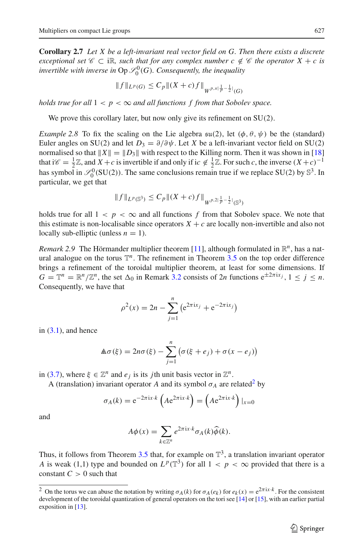**Corollary 2.7** *Let X be a left-invariant real vector field on G. Then there exists a discrete exceptional set*  $\mathscr{C} \subset \mathbb{R}$ *, such that for any complex number c*  $\notin \mathscr{C}$  *the operator*  $X + c$  *is invertible with inverse in*  $Op \mathscr{S}^0_0(G)$ *. Consequently, the inequality* 

$$
||f||_{L^p(G)} \le C_p ||(X+c)f||_{W^{p,\varkappa|\frac{1}{p}-\frac{1}{2}|}(G)}
$$

*holds true for all*  $1 < p < \infty$  *and all functions f from that Sobolev space.* 

We prove this corollary later, but now only give its refinement on SU(2).

<span id="page-6-0"></span>*Example 2.8* To fix the scaling on the Lie algebra  $\mathfrak{su}(2)$ , let  $(\phi, \theta, \psi)$  be the (standard) Euler angles on SU(2) and let  $D_3 = \partial/\partial \psi$ . Let *X* be a left-invariant vector field on SU(2) normalised so that  $||X|| = ||D_3||$  with respect to the Killing norm. Then it was shown in [\[18\]](#page-20-9) that i $\mathscr{C} = \frac{1}{2}\mathbb{Z}$ , and  $X + c$  is invertible if and only if i $c \notin \frac{1}{2}\mathbb{Z}$ . For such  $c$ , the inverse  $(X + c)^{-1}$ has symbol in  $\mathscr{S}_0^0$ (SU(2)). The same conclusions remain true if we replace SU(2) by  $\mathbb{S}^3$ . In particular, we get that

$$
||f||_{L^p(\mathbb{S}^3)} \leq C_p ||(X+c)f||_{W^{p,2|\frac{1}{p}-\frac{1}{2}|}(\mathbb{S}^3)}
$$

holds true for all  $1 < p < \infty$  and all functions f from that Sobolev space. We note that this estimate is non-localisable since operators  $X + c$  are locally non-invertible and also not locally sub-elliptic (unless  $n = 1$ ).

<span id="page-6-1"></span>*Remark* 2.9 The Hörmander multiplier theorem [\[11](#page-20-12)], although formulated in  $\mathbb{R}^n$ , has a natural analogue on the torus  $\mathbb{T}^n$ . The refinement in Theorem [3.5](#page-11-0) on the top order difference brings a refinement of the toroidal multiplier theorem, at least for some dimensions. If *G* =  $\mathbb{T}^n = \mathbb{R}^n / \mathbb{Z}^n$ , the set  $\Delta_0$  in Remark [3.2](#page-8-0) consists of 2*n* functions  $e^{\pm 2\pi i x_j}$ ,  $1 \le j \le n$ .<br>Consequently, we have that<br> $\rho^2(x) = 2n - \sum_{n=0}^n (e^{2\pi i x_j} + e^{-2\pi i x_j})$ Consequently, we have that

$$
\rho^{2}(x) = 2n - \sum_{j=1}^{n} (e^{2\pi i x_j} + e^{-2\pi i x_j})
$$

in  $(3.1)$ , and hence

$$
j=1
$$
  

$$
\mathbb{A}\sigma(\xi) = 2n\sigma(\xi) - \sum_{j=1}^{n} (\sigma(\xi + e_j) + \sigma(x - e_j))
$$

in [\(3.7\)](#page-11-1), where  $\xi \in \mathbb{Z}^n$  and  $e_j$  is its *j*th unit basis vector in  $\mathbb{Z}^n$ .

A (translation) invariant operator *A* and its symbol  $\sigma_A$  are related<sup>2</sup> by

$$
\sigma_A(k) = e^{-2\pi ix \cdot k} \left( A e^{2\pi ix \cdot k} \right) = \left( A e^{2\pi ix \cdot k} \right) \vert_{x=0}
$$

$$
A\phi(x) = \sum e^{2\pi ix \cdot k} \sigma_A(k) \widehat{\phi}(k).
$$

and

$$
A\phi(x) = \sum_{k \in \mathbb{Z}^n} e^{2\pi ix \cdot k} \sigma_A(k) \widehat{\phi}(k).
$$

Thus, it follows from Theorem [3.5](#page-11-0) that, for example on  $\mathbb{T}^3$ , a translation invariant operator *A* is weak (1,1) type and bounded on  $L^p(\mathbb{T}^3)$  for all  $1 < p < \infty$  provided that there is a constant  $C > 0$  such that

<span id="page-6-2"></span><sup>&</sup>lt;sup>2</sup> On the torus we can abuse the notation by writing  $\sigma_A(k)$  for  $\sigma_A(e_k)$  for  $e_k(x) = e^{2\pi ix \cdot k}$ . For the consistent development of the toroidal quantization of general operators on the tori see [\[14\]](#page-20-13) or [\[15\]](#page-20-8), with an earlier partial exposition in  $[13]$  $[13]$ .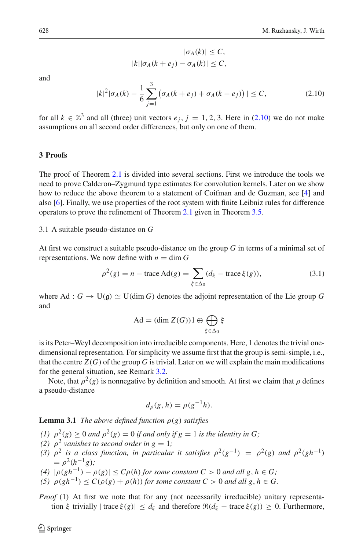$$
|\sigma_A(k)| \le C,
$$
  

$$
|k||\sigma_A(k + e_j) - \sigma_A(k)| \le C,
$$

<span id="page-7-2"></span>and

$$
|k|^2 |\sigma_A(k) - \frac{1}{6} \sum_{j=1}^3 \left( \sigma_A(k + e_j) + \sigma_A(k - e_j) \right)| \le C, \tag{2.10}
$$

for all  $k \in \mathbb{Z}^3$  and all (three) unit vectors  $e_j$ ,  $j = 1, 2, 3$ . Here in [\(2.10\)](#page-7-2) we do not make assumptions on all second order differences, but only on one of them.

# <span id="page-7-0"></span>**3 Proofs**

The proof of Theorem [2.1](#page-4-0) is divided into several sections. First we introduce the tools we need to prove Calderon–Zygmund type estimates for convolution kernels. Later on we show how to reduce the above theorem to a statement of Coifman and de Guzman, see [\[4](#page-20-5)] and also [\[6\]](#page-20-6). Finally, we use properties of the root system with finite Leibniz rules for difference operators to prove the refinement of Theorem [2.1](#page-4-0) given in Theorem [3.5.](#page-11-0)

## 3.1 A suitable pseudo-distance on *G*

At first we construct a suitable pseudo-distance on the group *G* in terms of a minimal set of representations. We now define with  $n = \dim G$ *f* a suitable pseudo-distance on th<br>now define with  $n = \dim G$ <br> $\rho^2(g) = n - \text{trace } \text{Ad}(g) = \sum$ 

$$
\rho^{2}(g) = n - \text{trace Ad}(g) = \sum_{\xi \in \Delta_{0}} (d_{\xi} - \text{trace } \xi(g)), \tag{3.1}
$$

<span id="page-7-1"></span>where Ad :  $G \to U(\mathfrak{g}) \simeq U(\dim G)$  denotes the adjoint representation of the Lie group  $G$ and  $\lim G$ ) denotes the adjoint<br>Ad = (dim  $Z(G)$ )1 ⊕  $\bigoplus$ 

$$
\mathrm{Ad} = (\dim Z(G))1 \oplus \bigoplus_{\xi \in \Delta_0} \xi
$$

is its Peter–Weyl decomposition into irreducible components. Here, 1 denotes the trivial onedimensional representation. For simplicity we assume first that the group is semi-simple, i.e., that the centre  $Z(G)$  of the group G is trivial. Later on we will explain the main modifications for the general situation, see Remark [3.2.](#page-8-0)

Note, that  $\rho^2(g)$  is nonnegative by definition and smooth. At first we claim that  $\rho$  defines a pseudo-distance

$$
d_{\rho}(g, h) = \rho(g^{-1}h).
$$

<span id="page-7-3"></span>**Lemma 3.1** *The above defined function*  $\rho(g)$  *satisfies* 

- *(1)*  $\rho^2(g) \ge 0$  *and*  $\rho^2(g) = 0$  *if and only if*  $g = 1$  *is the identity in G;*
- *(2)*  $\rho^2$  *vanishes to second order in g* = 1*;*
- (3)  $\rho^2$  *is a class function, in particular it satisfies*  $\rho^2(g^{-1}) = \rho^2(g)$  *and*  $\rho^2(gh^{-1})$  $= \rho^2(h^{-1}g)$ ;
- *(4)*  $|\rho(gh^{-1}) \rho(g)| \le C\rho(h)$  *for some constant*  $C > 0$  *and all*  $g, h \in G$ ;
- (5)  $\rho(gh^{-1}) \leq C(\rho(g) + \rho(h))$  *for some constant*  $C > 0$  *and all*  $g, h \in G$ .

*Proof* (1) At first we note that for any (not necessarily irreducible) unitary representation ξ trivially  $|\text{trace }\xi(g)| \leq d_{\xi}$  and therefore  $\Re(d_{\xi} - \text{trace }\xi(g)) \geq 0$ . Furthermore,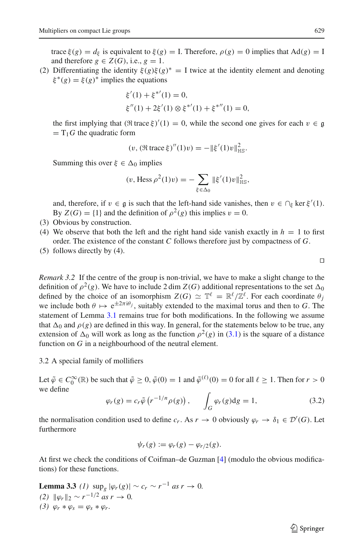trace  $\xi(g) = d_{\xi}$  is equivalent to  $\xi(g) = I$ . Therefore,  $\rho(g) = 0$  implies that Ad(*g*) = I and therefore  $g \in Z(G)$ , i.e.,  $g = 1$ .

(2) Differentiating the identity  $\xi(g)\xi(g)^* = I$  twice at the identity element and denoting  $\xi^*(g) = \xi(g)^*$  implies the equations

$$
\xi'(1) + \xi^{*'}(1) = 0,
$$
  
\n
$$
\xi''(1) + 2\xi'(1) \otimes \xi^{*'}(1) + \xi^{*''}(1) = 0,
$$

the first implying that  $(\Re \text{trace } \xi)'(1) = 0$ , while the second one gives for each  $v \in \mathfrak{g}$ <br>- T<sub>1</sub>G the quadratic form  $=T_1G$  the quadratic form

$$
(v, (\Re \operatorname{trace} \xi)''(1)v) = -\|\xi'(1)v\|_{\text{HS}}^2.
$$

Summing this over  $\xi \in \Delta_0$  implies

$$
(v, (\Re \operatorname{trace} \xi)''(1)v) = -\|\xi'(1)v\|_{\text{HS}}^2.
$$
  
\n
$$
\Delta_0 \text{ implies}
$$
  
\n
$$
(v, \operatorname{Hess} \rho^2(1)v) = -\sum_{\xi \in \Delta_0} \|\xi'(1)v\|_{\text{HS}}^2,
$$

and, therefore, if  $v \in \mathfrak{g}$  is such that the left-hand side vanishes, then  $v \in \bigcap_{\xi} \ker \xi'(1)$ .<br>By  $Z(G) = \{1\}$  and the definition of  $a^2(a)$  this implies  $v = 0$ . By  $Z(G) = \{1\}$  and the definition of  $\rho^2(g)$  this implies  $v = 0$ .

- (3) Obvious by construction.
- (4) We observe that both the left and the right hand side vanish exactly in  $h = 1$  to first order. The existence of the constant *C* follows therefore just by compactness of *G*.
- (5) follows directly by (4).

<span id="page-8-0"></span>*Remark 3.2* If the centre of the group is non-trivial, we have to make a slight change to the definition of  $\rho^2(g)$ . We have to include 2 dim  $Z(G)$  additional representations to the set  $\Delta_0$ defined by the choice of an isomorphism  $Z(G) \simeq \mathbb{T}^{\ell} = \mathbb{R}^{\ell}/\mathbb{Z}^{\ell}$ . For each coordinate  $\theta_i$ we include both  $\theta \mapsto e^{\pm 2\pi i \theta_j}$ , suitably extended to the maximal torus and then to *G*. The statement of Lemma [3.1](#page-7-3) remains true for both modifications. In the following we assume that  $\Delta_0$  and  $\rho(g)$  are defined in this way. In general, for the statements below to be true, any extension of  $\Delta_0$  will work as long as the function  $\rho^2(g)$  in [\(3.1\)](#page-7-1) is the square of a distance function on *G* in a neighbourhood of the neutral element.

3.2 A special family of mollifiers

Let  $\tilde{\varphi} \in C_0^{\infty}(\mathbb{R})$  be such that  $\tilde{\varphi} \ge 0$ ,  $\tilde{\varphi}(0) = 1$  and  $\tilde{\varphi}^{(\ell)}(0) = 0$  for all  $\ell \ge 1$ . Then for  $r > 0$ we define

$$
\varphi_r(g) = c_r \tilde{\varphi} \left( r^{-1/n} \rho(g) \right), \qquad \int_G \varphi_r(g) dg = 1, \tag{3.2}
$$

the normalisation condition used to define  $c_r$ . As  $r \to 0$  obviously  $\varphi_r \to \delta_1 \in \mathcal{D}'(G)$ . Let furthermore

$$
\psi_r(g) := \varphi_r(g) - \varphi_{r/2}(g).
$$

At first we check the conditions of Coifman–de Guzman [\[4\]](#page-20-5) (modulo the obvious modifications) for these functions.

**Lemma 3.3** (1) 
$$
\sup_g |\varphi_r(g)| \sim c_r \sim r^{-1} \text{ as } r \to 0.
$$
  
\n(2)  $\|\varphi_r\|_2 \sim r^{-1/2} \text{ as } r \to 0.$   
\n(3)  $\varphi_r * \varphi_s = \varphi_s * \varphi_r.$ 

 $\Box$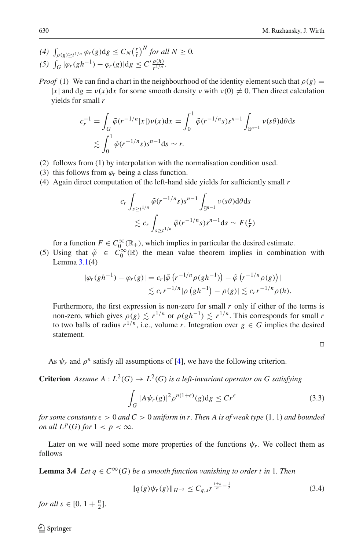- *(4)*  $\int_{\rho(g)\geq t^{1/n}} \varphi_r(g) dg \leq C_N \left(\frac{r}{t}\right)^N$  *for all*  $N \geq 0$ . *(4) J*<br>*(5) J*  $G$  | $\varphi_r(gh^{-1}) - \varphi_r(g) \, \text{d} g \leq C' \frac{\rho(h)}{r^{1/n}}.$
- *Proof* (1) We can find a chart in the neighbourhood of the identity element such that  $\rho(g)$  =  $|x|$  and  $dg = v(x)dx$  for some smooth density  $v$  with  $v(0) \neq 0$ . Then direct calculation yields for small *r*

$$
c_r^{-1} = \int_G \tilde{\varphi}(r^{-1/n}|x|) \nu(x) dx = \int_0^1 \tilde{\varphi}(r^{-1/n}s) s^{n-1} \int_{\mathbb{S}^{n-1}} \nu(s\theta) d\theta ds
$$
  

$$
\lesssim \int_0^1 \tilde{\varphi}(r^{-1/n}s) s^{n-1} ds \sim r.
$$

- (2) follows from (1) by interpolation with the normalisation condition used.
- (3) this follows from  $\varphi_r$  being a class function.
- (4) Again direct computation of the left-hand side yields for sufficiently small *r*

$$
c_r \int_{s \ge t^{1/n}} \tilde{\varphi}(r^{-1/n} s) s^{n-1} \int_{\mathbb{S}^{n-1}} \nu(s\theta) d\theta ds
$$
  
\$\lesssim c\_r \int\_{s \ge t^{1/n}} \tilde{\varphi}(r^{-1/n} s) s^{n-1} ds \sim F(\frac{t}{r})\$

for a function  $F \in C_0^\infty(\mathbb{R}_+)$ , which implies in particular the desired estimate.

(5) Using that  $\tilde{\varphi} \in C_0^{\infty}(\mathbb{R})$  the mean value theorem implies in combination with Lemma 3.1(4) Lemma  $3.1(4)$  $3.1(4)$ 

1(4)  
\n
$$
|\varphi_r(gh^{-1}) - \varphi_r(g)| = c_r |\tilde{\varphi}(r^{-1/n} \rho(gh^{-1})) - \tilde{\varphi}(r^{-1/n} \rho(g))|
$$
\n
$$
\lesssim c_r r^{-1/n} |\rho(gh^{-1}) - \rho(g)| \lesssim c_r r^{-1/n} \rho(h).
$$

Furthermore, the first expression is non-zero for small *r* only if either of the terms is non-zero, which gives  $\rho(g) \lesssim r^{1/n}$  or  $\rho(gh^{-1}) \lesssim r^{1/n}$ . This corresponds for small *r* to two balls of radius  $r^{1/n}$ , i.e., volume *r*. Integration over  $g \in G$  implies the desired statement.

 $\Box$ 

As  $\psi_r$  and  $\rho^n$  satisfy all assumptions of [\[4](#page-20-5)], we have the following criterion.

**Criterion** *Assume*  $A: L^2(G) \to L^2(G)$  *is a left-invariant operator on G satisfying* 

$$
\int_{G} |A\psi_r(g)|^2 \rho^{n(1+\epsilon)}(g) dg \le Cr^{\epsilon} \tag{3.3}
$$

<span id="page-9-0"></span>*for some constants*  $\epsilon > 0$  *and*  $C > 0$  *uniform in r. Then A is of weak type* (1, 1) *and bounded on all*  $L^p(G)$  *for*  $1 < p < \infty$ *.* 

<span id="page-9-1"></span>Later on we will need some more properties of the functions  $\psi_r$ . We collect them as follows

**Lemma 3.4** *Let*  $q \in C^{\infty}(G)$  *be a smooth function vanishing to order t in* 1*. Then* 

$$
||q(g)\psi_r(g)||_{H^{-s}} \le C_{q,s} r^{\frac{t+s}{n} - \frac{1}{2}}
$$
\n(3.4)

*for all*  $s \in [0, 1 + \frac{n}{2}]$ *.*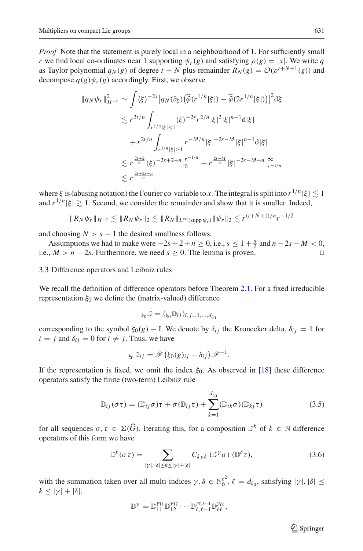*Proof* Note that the statement is purely local in a neighbourhood of 1. For sufficiently small *r* we find local co-ordinates near 1 supporting  $\psi_r(g)$  and satisfying  $\rho(g) = |x|$ . We write *q* as Taylor polynomial  $q_N(g)$  of degree  $t + N$  plus remainder  $R_N(g) = \mathcal{O}(\rho^{t+N+1}(g))$  and<br>decompose  $q(g)\psi_r(g)$  accordingly. First, we observe<br> $||q_N\psi_r||_{H^{-s}}^2 \sim \int {\langle \xi \rangle^{-2s} |q_N(\partial_\xi)(\hat{\varphi}(r^{1/n}|\xi|) - \hat{\varphi}(2r^{1/n}|\xi|))|^2} d\xi$ decompose  $q(g)\psi_r(g)$  accordingly. First, we observe

$$
||q_N \psi_r||_{H^{-s}}^2 \sim \int \langle \xi \rangle^{-2s} |q_N(\partial_\xi) (\widehat{\varphi}(r^{1/n}|\xi|) - \widehat{\varphi}(2r^{1/n}|\xi|))|^2 d\xi
$$
  
\n
$$
\lesssim r^{2t/n} \int_{r^{1/n}|\xi| \le 1} \langle \xi \rangle^{-2s} r^{2/n} |\xi|^2 |\xi|^{n-1} d|\xi|
$$
  
\n
$$
+ r^{2t/n} \int_{r^{1/n}|\xi| \ge 1} r^{-M/n} |\xi|^{-2s-M} |\xi|^{n-1} d|\xi|
$$
  
\n
$$
\lesssim r^{\frac{2t+2}{n}} \langle \xi \rangle^{-2s+2+n} \Big|_0^{r^{-1/n}} + r^{\frac{2t-M}{n}} |\xi|^{-2s-M+n} \Big|_{r^{-1/n}}^{\infty}
$$
  
\n
$$
\lesssim r^{\frac{2t+2s-n}{n}}
$$

where  $\xi$  is (abusing notation) the Fourier co-variable to *x*. The integral is split into  $r^{1/n}|\xi| \lesssim 1$ and  $r^{1/n}|\xi| \gtrsim 1$ . Second, we consider the remainder and show that it is smaller. Indeed,

$$
||R_N \psi_r||_{H^{-s}} \lesssim ||R_N \psi_r||_2 \lesssim ||R_N||_{L^{\infty}(\text{supp }\psi_r)} ||\psi_r||_2 \lesssim r^{(t+N+1)/n} r^{-1/2}
$$

and choosing  $N > s - 1$  the desired smallness follows.

Assumptions we had to make were  $-2s + 2 + n \ge 0$ , i.e.,  $s \le 1 + \frac{n}{2}$  and  $n - 2s - M < 0$ , i.e.,  $M > n - 2s$ . Furthermore, we need  $s \ge 0$ . The lemma is proven.

### 3.3 Difference operators and Leibniz rules

We recall the definition of difference operators before Theorem [2.1.](#page-4-0) For a fixed irreducible representation  $ξ_0$  we define the (matrix-valued) difference

$$
\xi_0\mathbb{D}=(\xi_0\mathbb{D}_{ij})_{i,j=1,...,d_{\xi_0}}
$$

corresponding to the symbol  $\xi_0(g) - I$ . We denote by  $\delta_{ij}$  the Kronecker delta,  $\delta_{ij} = 1$  for  $i = j$  and  $\delta_{ij} = 0$  for  $i \neq j$ . Thus, we have<br> $\xi_0 \mathbb{D}_{ij} = \mathscr{F} (\xi_0(g)_{ij} - \delta_{ij}) \mathscr{F}^{-1}$ .  $i = j$  and  $\delta_{ij} = 0$  for  $i \neq j$ . Thus, we have  $\frac{1}{50}(g) - I$ .<br>Thus, we ha<br> $\frac{1}{50}\mathbb{D}_{ij} = \mathcal{F}$ 

$$
\xi_0 \mathbb{D}_{ij} = \mathscr{F}\left(\xi_0(g)_{ij} - \delta_{ij}\right) \mathscr{F}^{-1}.
$$

If the representation is fixed, we omit the index  $\xi_0$ . As observed in [\[18\]](#page-20-9) these difference operators satisfy the finite (two-term) Leibniz rule

$$
\mathbb{D}_{ij}(\sigma \tau) = (\mathbb{D}_{ij}\sigma)\tau + \sigma(\mathbb{D}_{ij}\tau) + \sum_{k=1}^{d_{\xi_0}} (\mathbb{D}_{ik}\sigma)(\mathbb{D}_{kj}\tau)
$$
\n(3.5)

<span id="page-10-0"></span>for all sequences *σ*, *τ* ∈ Σ(*G*). Iterating this, for a composition  $\mathbb{D}^k$  of *k* ∈ N difference<br>operators of this form we have<br> $\mathbb{D}^k(\sigma \tau) = \sum C_{k\gamma\delta}(\mathbb{D}^{\gamma}\sigma)(\mathbb{D}^{\delta}\tau)$ , (3.6) operators of this form we have

$$
\mathbb{D}^{k}(\sigma\tau) = \sum_{|\gamma|,|\delta| \le k \le |\gamma|+|\delta|} C_{k\gamma\delta} \left(\mathbb{D}^{\gamma}\sigma\right) \left(\mathbb{D}^{\delta}\tau\right),\tag{3.6}
$$

<span id="page-10-1"></span>with the summation taken over all multi-indices  $\gamma, \delta \in \mathbb{N}_0^{\ell^2}, \ell = d_{\xi_0}$ , satisfying  $|\gamma|, |\delta| \leq$  $k \leq |\gamma| + |\delta|$ ,

$$
\mathbb{D}^{\gamma} = \mathbb{D}_{11}^{\gamma_{11}} \mathbb{D}_{12}^{\gamma_{12}} \cdots \mathbb{D}_{\ell,\ell-1}^{\gamma_{\ell,\ell-1}} \mathbb{D}_{\ell\ell}^{\gamma_{\ell\ell}},
$$

 $\circled{2}$  Springer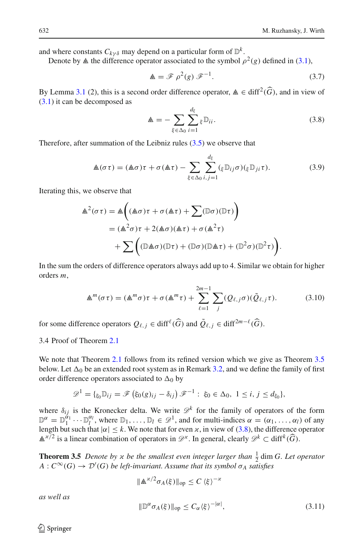and where constants  $C_{k \nu \delta}$  may depend on a particular form of  $\mathbb{D}^k$ .

<span id="page-11-1"></span>Denote by  $\triangle$  the difference operator associated to the symbol  $\rho^2(g)$  defined in [\(3.1\)](#page-7-1),

$$
\mathbb{A} = \mathscr{F} \rho^2(g) \mathscr{F}^{-1}.
$$
 (3.7)

By Lemma [3.1](#page-7-3) (2), this is a second order difference operator,  $\triangle \in \text{diff}^2(\widehat{G})$ , and in view of (3.1) it can be decomposed as<br>  $\triangle = -\sum_{i=1}^{\infty} \sum_{j=1}^{d_{\xi}} \mathbb{D}_{ij}.$  (3.8) [\(3.1\)](#page-7-1) it can be decomposed as

$$
\mathbb{A} = -\sum_{\xi \in \Delta_0} \sum_{i=1}^{d_{\xi}} \xi \mathbb{D}_{ii}.
$$
 (3.8)

Therefore, after summation of the Leibniz rules [\(3.5\)](#page-10-0) we observe that

<span id="page-11-2"></span>
$$
u1 = (aσ)π + σ(aπ) = (aσ)π + σ(aπ) - \sum_{\xi \in Δ_0} \sum_{i,j=1}^{d_{\xi}} (\xi \mathbb{D}_{ij} \sigma)(\xi \mathbb{D}_{ji} \tau).
$$
\n(3.9)

Iterating this, we observe that

we observe that  
\n
$$
\begin{aligned}\n\overline{\xi \in \Delta_0} \, i, j = 1 \\
\text{we observe that} \\
\mathbb{A}^2(\sigma \tau) &= \mathbb{A}\left( (\mathbb{A}\sigma) \tau + \sigma(\mathbb{A}\tau) + \sum (\mathbb{D}\sigma)(\mathbb{D}\tau) \right) \\
&= (\mathbb{A}^2 \sigma) \tau + 2(\mathbb{A}\sigma)(\mathbb{A}\tau) + \sigma(\mathbb{A}^2 \tau) \\
&+ \sum \left( (\mathbb{D}\mathbb{A}\sigma)(\mathbb{D}\tau) + (\mathbb{D}\sigma)(\mathbb{D}\mathbb{A}\tau) + (\mathbb{D}^2 \sigma)(\mathbb{D}^2 \tau) \right).\n\end{aligned}
$$

In the sum the orders of difference operators always add up to 4. Similar we obtain for higher orders *m*,

<span id="page-11-3"></span>
$$
\mathbb{A}^m(\sigma\tau) = (\mathbb{A}^m\sigma)\tau + \sigma(\mathbb{A}^m\tau) + \sum_{\ell=1}^{2m-1} \sum_j (Q_{\ell,j}\sigma)(\tilde{Q}_{\ell,j}\tau). \tag{3.10}
$$

for some difference operators  $Q_{\ell,j} \in \text{diff}^{\ell}(\widehat{G})$  and  $\widetilde{Q}_{\ell,j} \in \text{diff}^{2m-\ell}(\widehat{G})$ .

# 3.4 Proof of Theorem [2.1](#page-4-0)

We note that Theorem [2.1](#page-4-0) follows from its refined version which we give as Theorem [3.5](#page-11-0) below. Let  $\Delta_0$  be an extended root system as in Remark [3.2,](#page-8-0) and we define the family of first order difference operators associated to  $\Delta_0$  by<br>  $\mathscr{D}^1 = \{_{\xi_0} \mathbb{D}_{ij} = \mathscr{F} (\xi_0(g)_{ij} - \delta_{ij}) \mathscr{F}^{-1} : \xi_0 \in \Delta_0, 1 \$ order difference operators associated to  $\Delta_0$  by

$$
\mathscr{D}^1 = \{ \xi_0 \mathbb{D}_{ij} = \mathscr{F} \left( \xi_0(g)_{ij} - \delta_{ij} \right) \mathscr{F}^{-1} : \ \xi_0 \in \Delta_0, \ 1 \leq i, j \leq d_{\xi_0} \},
$$

where  $\delta_{ij}$  is the Kronecker delta. We write  $\mathcal{D}^k$  for the family of operators of the form  $\mathbb{D}^{\alpha} = \mathbb{D}_1^{\alpha_1} \cdots \mathbb{D}_l^{\alpha_l}$ , where  $\mathbb{D}_1, \ldots, \mathbb{D}_l \in \mathscr{D}^1$ , and for multi-indices  $\alpha = (\alpha_1, \ldots, \alpha_l)$  of any length but such that  $|\alpha| \le k$ . We note that for even  $\alpha$ , in view of [\(3.8\)](#page-11-2), the difference operator  $\mathbb{A}^{\kappa/2}$  is a linear combination of operators in  $\mathcal{D}^{\kappa}$ . In general, clearly  $\mathcal{D}^k \subset \text{diff}^k(\widehat{G})$ .

<span id="page-11-0"></span>**Theorem 3.5** *Denote by*  $\alpha$  *be the smallest even integer larger than*  $\frac{1}{2}$  dim *G. Let operator*  $A:C^{\infty}(G) \to \mathcal{D}'(G)$  *be left-invariant. Assume that its symbol*  $\sigma_A$  *satisfies* 

$$
\|\mathbb{A}^{\alpha/2}\sigma_A(\xi)\|_{\text{op}} \le C \langle \xi \rangle^{-\alpha}
$$
  

$$
\|\mathbb{D}^{\alpha}\sigma_A(\xi)\|_{\text{op}} \le C_{\alpha} \langle \xi \rangle^{-|\alpha|},
$$
 (3.11)

*as well as*

 $\circledcirc$  Springer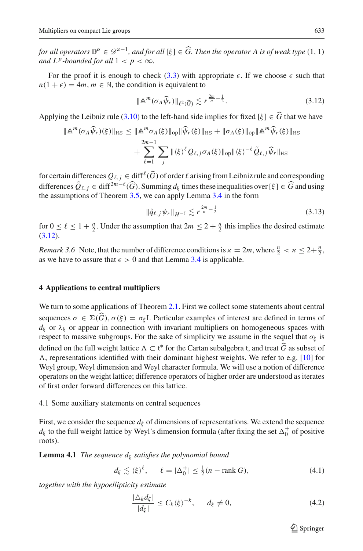*for all operators*  $\mathbb{D}^{\alpha} \in \mathcal{D}^{\times -1}$ , *and for all* [ξ] ∈ *G*. *Then the operator A is of weak type* (1, 1) *for all operators*  $\mathbb{D}^{\alpha}$ *and*  $L^p$ -bounded for all  $1 < p < \infty$ .

For the proof it is enough to check [\(3.3\)](#page-9-0) with appropriate  $\epsilon$ . If we choose  $\epsilon$  such that  $n(1 + \epsilon) = 4m, m \in \mathbb{N}$ , the condition is equivalent to

$$
\|\mathbb{A}^m(\sigma_A\widehat{\psi}_r)\|_{\ell^2(\widehat{G})} \lesssim r^{\frac{2m}{n}-\frac{1}{2}}.
$$
\n(3.12)

Applying the Leibniz rule [\(3.10\)](#page-11-3) to the left-hand side implies for fixed  $[\xi] \in G$  that we have

<span id="page-12-1"></span>
$$
\|\mathbb{A}^m(\sigma_A \widehat{\psi}_r)(\xi)\|_{\text{HS}} \le \|\mathbb{A}^m \sigma_A(\xi)\|_{\text{op}} \|\widehat{\psi}_r(\xi)\|_{\text{HS}} + \|\sigma_A(\xi)\|_{\text{op}} \|\mathbb{A}^m \widehat{\psi}_r(\xi)\|_{\text{HS}} + \sum_{\ell=1}^{2m-1} \sum_j \| \langle \xi \rangle^{\ell} Q_{\ell,j} \sigma_A(\xi) \|_{\text{op}} \|\langle \xi \rangle^{-\ell} \widetilde{Q}_{\ell,j} \widehat{\psi}_r\|_{\text{HS}}
$$

for certain differences  $Q_{\ell,j} \in \text{diff}^{\ell}(\widehat{G})$  of order  $\ell$  arising from Leibniz rule and corresponding differences  $\tilde{Q}_{\ell,j} \in \text{diff}^{2m-\ell}(\widehat{G})$ . Summing  $d_{\xi}$  times these inequalities over [ $\xi$ ]  $\in \widehat{G}$  and using the assumptions of Theorem [3.5,](#page-11-0) we can apply Lemma [3.4](#page-9-1) in the form

$$
\|\tilde{q}_{\ell,j}\psi_r\|_{H^{-\ell}} \lesssim r^{\frac{2m}{n}-\frac{1}{2}}\tag{3.13}
$$

for  $0 \le \ell \le 1 + \frac{n}{2}$ . Under the assumption that  $2m \le 2 + \frac{n}{2}$  this implies the desired estimate [\(3.12\)](#page-12-1).

*Remark 3.6* Note, that the number of difference conditions is  $x = 2m$ , where  $\frac{n}{2} < x \leq 2 + \frac{n}{2}$ . as we have to assure that  $\epsilon > 0$  and that Lemma [3.4](#page-9-1) is applicable.

# <span id="page-12-0"></span>**4 Applications to central multipliers** -

We turn to some applications of Theorem [2.1.](#page-4-0) First we collect some statements about central sequences  $\sigma \in \Sigma(G)$ ,  $\sigma(\xi) = \sigma_{\xi}$ I. Particular examples of interest are defined in terms of  $d_{\xi}$  or  $\lambda_{\xi}$  or appear in connection with invariant multipliers on homogeneous spaces with respect to massive subgroups. For the sake of simplicity we assume in the sequel that  $\sigma_{\xi}$  is defined on the full weight lattice  $\Lambda \subset \mathfrak{t}^*$  for the Cartan subalgebra t, and treat *G* as subset of  $\Lambda$  representations identified with their dominant highest weights. We refer to e.g. [10] for  $\Lambda$ , representations identified with their dominant highest weights. We refer to e.g. [\[10](#page-20-15)] for Weyl group, Weyl dimension and Weyl character formula. We will use a notion of difference operators on the weight lattice; difference operators of higher order are understood as iterates of first order forward differences on this lattice.

4.1 Some auxiliary statements on central sequences

First, we consider the sequence  $d<sub>\xi</sub>$  of dimensions of representations. We extend the sequence  $d_{\xi}$  to the full weight lattice by Weyl's dimension formula (after fixing the set  $\Delta_0^+$  of positive roots).

<span id="page-12-4"></span>**Lemma 4.1** *The sequence d*<sup>ξ</sup> *satisfies the polynomial bound*

$$
d_{\xi} \lesssim \langle \xi \rangle^{\ell}, \qquad \ell = |\Delta_0^+| \le \frac{1}{2}(n - \text{rank } G), \tag{4.1}
$$

<span id="page-12-3"></span><span id="page-12-2"></span>*together with the hypoellipticity estimate*

$$
\frac{|\Delta_k d_\xi|}{|d_\xi|} \le C_k \langle \xi \rangle^{-k}, \qquad d_\xi \neq 0,
$$
\n(4.2)

 $\circled{2}$  Springer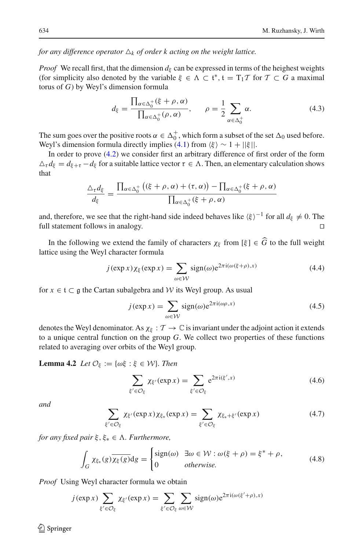*for any difference operator*  $\Delta_k$  *of order* k acting *on the weight lattice.* 

*Proof* We recall first, that the dimension  $d_{\xi}$  can be expressed in terms of the heighest weights (for simplicity also denoted by the variable  $\xi \in \Lambda \subset \mathfrak{t}^*, \mathfrak{t} = T_1 \mathcal{T}$  for  $\mathcal{T} \subset G$  a maximal torus of  $G$ ) by Weyl's dimension formula torus of *G*) by Weyl's dimension formula

$$
d_{\xi} = \frac{\prod_{\alpha \in \Delta_0^+} (\xi + \rho, \alpha)}{\prod_{\alpha \in \Delta_0^+} (\rho, \alpha)}, \qquad \rho = \frac{1}{2} \sum_{\alpha \in \Delta_0^+} \alpha.
$$
 (4.3)

The sum goes over the positive roots  $\alpha \in \Delta_0^+$ , which form a subset of the set  $\Delta_0$  used before. Weyl's dimension formula directly implies [\(4.1\)](#page-12-2) from  $\langle \xi \rangle \sim 1 + ||\xi||$ .

In order to prove [\(4.2\)](#page-12-3) we consider first an arbitrary difference of first order of the form  $\Delta_{\tau} d_{\xi} = d_{\xi+\tau} - d_{\xi}$  for a suitable lattice vector  $\tau \in \Lambda$ . Then, an elementary calculation shows that sider first an arbitrary differenties<br>titice vector  $\tau \in \Lambda$ . Then, a<br> $(\xi + \rho, \alpha) + (\tau, \alpha)$  -  $\prod$  $\ddot{\phantom{0}}$ 

$$
\frac{\Delta_{\tau}d_{\xi}}{d_{\xi}} = \frac{\prod_{\alpha \in \Delta_0^+} ((\xi + \rho, \alpha) + (\tau, \alpha)) - \prod_{\alpha \in \Delta_0^+} (\xi + \rho, \alpha)}{\prod_{\alpha \in \Delta_0^+} (\xi + \rho, \alpha)}
$$

and, therefore, we see that the right-hand side indeed behaves like  $\langle \xi \rangle^{-1}$  for all  $d_{\xi} \neq 0$ . The full statement follows in analogy.

In the following we extend the family of characters  $\chi_{\xi}$  from [ $\xi$ ]  $\in G$  to the full weight lattice using the Weyl character formula *j*(exp *x*)  $\chi_{\xi}$ (exp *x*) =  $\sum$ 

$$
j(\exp x)\chi_{\xi}(\exp x) = \sum_{\omega \in \mathcal{W}} sign(\omega)e^{2\pi i(\omega(\xi+\rho),x)}
$$
(4.4)

for  $x \in \mathfrak{t} \subset \mathfrak{g}$  the Cartan subalgebra and *W* its Weyl group. As usual

$$
\sum_{\omega \in \mathcal{W}} \text{degree}(x) = \sum_{\omega \in \mathcal{W}} \text{degree}(x) \tag{1.5}
$$
\n
$$
j(\exp x) = \sum_{\omega \in \mathcal{W}} \text{sign}(\omega) e^{2\pi i(\omega \rho, x)} \tag{4.5}
$$

denotes the Weyl denominator. As  $\chi_{\xi} : \mathcal{T} \to \mathbb{C}$  is invariant under the adjoint action it extends to a unique central function on the group *G*. We collect two properties of these functions related to averaging over orbits of the Weyl group.<br> **Lemma 4.2** Let  $\mathcal{O}_{\xi} := \{\omega \xi : \xi \in \mathcal{W}\}\$ . Then<br>  $\sum \chi_{\xi'}(\exp x) = \sum$ 

<span id="page-13-1"></span>**Lemma 4.2** *Let*  $\mathcal{O}_{\xi} := \{\omega \xi : \xi \in \mathcal{W}\}\)$ *. Then* 

$$
\sum_{\xi' \in \mathcal{O}_{\xi}} \chi_{\xi'}(\exp x) = \sum_{\xi' \in \mathcal{O}_{\xi}} e^{2\pi i (\xi', x)}
$$
(4.6)  

$$
\chi_{\xi'}(\exp x) \chi_{\xi_*}(\exp x) = \sum \chi_{\xi_* + \xi'}(\exp x)
$$
(4.7)

<span id="page-13-2"></span>*and*

$$
\sum_{\xi' \in \mathcal{O}_{\xi}} \chi_{\xi'}(\exp x) \chi_{\xi_*}(\exp x) = \sum_{\xi' \in \mathcal{O}_{\xi}} \chi_{\xi_* + \xi'}(\exp x)
$$
(4.7)

<span id="page-13-0"></span>*for any fixed pair* ξ, ξ<sub>\*</sub> ∈ Λ. *Furthermore*,

$$
\int_{G} \chi_{\xi_{*}}(g) \overline{\chi_{\xi}(g)} dg = \begin{cases} sign(\omega) & \exists \omega \in \mathcal{W} : \omega(\xi + \rho) = \xi^{*} + \rho, \\ 0 & otherwise. \end{cases}
$$
(4.8)

*Proof* Using Weyl character formula we obtain

$$
\int_{G}^{G} \text{where } \int_{G}^{G} \text{ for } G \text{ and } G \text{ is the same as } \int_{G}^{G} \text{ for } G \text{ and } G \text{ is the same as } \int_{G}^{G} (\exp x) \sum_{\xi' \in \mathcal{O}_{\xi}} \chi_{\xi'}(\exp x) = \sum_{\xi' \in \mathcal{O}_{\xi}} \sum_{\omega \in \mathcal{W}} \text{sign}(\omega) e^{2\pi i (\omega(\xi' + \rho), x)}
$$

 $\mathcal{L}$  Springer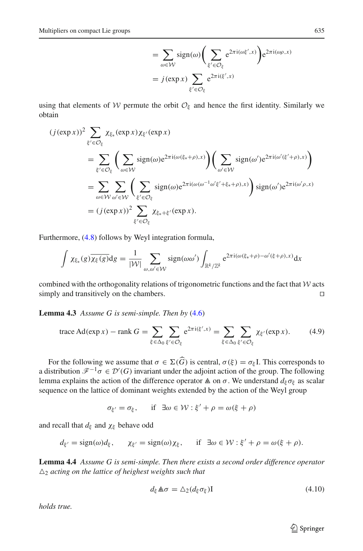$$
= \sum_{\omega \in \mathcal{W}} sign(\omega) \left( \sum_{\xi' \in \mathcal{O}_{\xi}} e^{2\pi i(\omega\xi',x)} \right) e^{2\pi i(\omega\rho,x)}
$$

$$
= j(\exp x) \sum_{\xi' \in \mathcal{O}_{\xi}} e^{2\pi i(\xi',x)}
$$

using that elements of *W* permute the orbit  $\mathcal{O}_{\xi}$  and hence the first identity. Similarly we obtain<br>  $(j(\exp x))^2 \sum \chi_{\xi_{\xi}}(\exp x) \chi_{\xi'}(\exp x)$ obtain

$$
(j(\exp x))^2 \sum_{\xi' \in \mathcal{O}_{\xi}} \chi_{\xi_*}(\exp x) \chi_{\xi'}(\exp x)
$$
  
= 
$$
\sum_{\xi' \in \mathcal{O}_{\xi}} \left( \sum_{\omega \in \mathcal{W}} sign(\omega) e^{2\pi i(\omega(\xi_* + \rho), x)} \right) \left( \sum_{\omega' \in \mathcal{W}} sign(\omega') e^{2\pi i(\omega'(\xi' + \rho), x)} \right)
$$
  
= 
$$
\sum_{\omega \in \mathcal{W}} \sum_{\omega' \in \mathcal{W}} \left( \sum_{\xi' \in \mathcal{O}_{\xi}} sign(\omega) e^{2\pi i(\omega(\omega^{-1}\omega'\xi' + \xi_* + \rho), x)} \right) sign(\omega') e^{2\pi i(\omega'\rho, x)}
$$
  
= 
$$
(j(\exp x))^2 \sum_{\xi' \in \mathcal{O}_{\xi}} \chi_{\xi_* + \xi'}(\exp x).
$$

Furthermore, [\(4.8\)](#page-13-0) follows by Weyl integration formula,

$$
\int \chi_{\xi_*}(g) \overline{\chi_{\xi}(g)} dg = \frac{1}{|\mathcal{W}|} \sum_{\omega,\omega' \in \mathcal{W}} sign(\omega \omega') \int_{\mathbb{R}^k/\mathbb{Z}^k} e^{2\pi i(\omega(\xi_*+\rho)-\omega'(\xi+\rho),x)} dx
$$

combined with the orthogonality relations of trigonometric functions and the fact that *W* acts simply and transitively on the chambers. simply and transitively on the chambers.

<span id="page-14-0"></span>**Lemma 4.3** *Assume G is semi-simple. Then by* [\(4.6\)](#page-13-1)

$$
=
$$
  
**18.4.3** Assume G is semi-simple. Then by (4.6)  
trace Ad(exp x) – rank  $G = \sum_{\xi \in \Delta_0} \sum_{\xi' \in \mathcal{O}_{\xi}} e^{2\pi i (\xi', x)} = \sum_{\xi \in \Delta_0} \sum_{\xi' \in \mathcal{O}_{\xi}} \chi_{\xi'}(\exp x).$  (4.9)

For the following we assume that  $\sigma \in \Sigma(G)$  is central,  $\sigma(\xi) = \sigma_{\xi}I$ . This corresponds to a distribution  $\mathscr{F}^{-1}\sigma \in \mathcal{D}'(G)$  invariant under the adjoint action of the group. The following lemma explains the action of the difference operator  $\triangle$  on  $\sigma$ . We understand  $d_{\xi} \sigma_{\xi}$  as scalar sequence on the lattice of dominant weights extended by the action of the Weyl group

$$
\sigma_{\xi'} = \sigma_{\xi}, \quad \text{if } \exists \omega \in \mathcal{W} : \xi' + \rho = \omega(\xi + \rho)
$$

and recall that  $d_{\xi}$  and  $\chi_{\xi}$  behave odd

$$
d_{\xi'} = sign(\omega)d_{\xi}, \quad \chi_{\xi'} = sign(\omega)\chi_{\xi}, \quad \text{if } \exists \omega \in \mathcal{W} : \xi' + \rho = \omega(\xi + \rho).
$$

<span id="page-14-2"></span>**Lemma 4.4** *Assume G is semi-simple. Then there exists a second order difference operator*  $\Delta_2$  *acting on the lattice of heighest weights such that* 

$$
d_{\xi} \mathbb{A}\sigma = \Delta_2 (d_{\xi} \sigma_{\xi}) \mathbf{I}
$$
 (4.10)

<span id="page-14-1"></span>*holds true.*

<sup>2</sup> Springer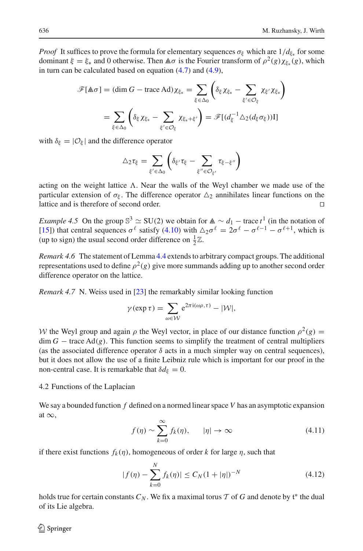*Proof* It suffices to prove the formula for elementary sequences  $\sigma_{\xi}$  which are  $1/d_{\xi_{*}}$  for some dominant  $\xi = \xi_*$  and 0 otherwise. Then  $\hat{\mathbb{A}} \sigma$  is the Fourier transform of  $\rho^2(g) \chi_{\xi_*}(g)$ , which<br>in turn can be calculated based on equation (4.7) and (4.9),<br> $\mathcal{F}[\hat{\mathbb{A}} \sigma] = (\dim G - \text{trace } \text{Ad}) \chi_{\xi_*} = \sum \left( \delta_{\xi} \chi$ in turn can be calculated based on equation  $(4.7)$  and  $(4.9)$ ,

$$
\mathscr{F}[\mathbb{A}\sigma] = (\dim G - \text{trace Ad}) \chi_{\xi_*} = \sum_{\xi \in \Delta_0} \left( \delta_{\xi} \chi_{\xi_*} - \sum_{\xi' \in \mathcal{O}_{\xi}} \chi_{\xi'} \chi_{\xi_*} \right)
$$

$$
= \sum_{\xi \in \Delta_0} \left( \delta_{\xi} \chi_{\xi_*} - \sum_{\xi' \in \mathcal{O}_{\xi}} \chi_{\xi_* + \xi'} \right) = \mathscr{F}[(d_{\xi}^{-1} \Delta_2(d_{\xi} \sigma_{\xi}))]
$$

with  $\delta_{\xi} = |\mathcal{O}_{\xi}|$  and the difference operator

$$
\sum_{\xi \in \mathcal{O}_{\xi}} \mathcal{L}_{\xi} = \sum_{\xi' \in \Delta_0} \left( \delta_{\xi'} \tau_{\xi} - \sum_{\xi'' \in \mathcal{O}_{\xi'}} \tau_{\xi - \xi''} \right)
$$

acting on the weight lattice  $\Lambda$ . Near the walls of the Weyl chamber we made use of the particular extension of  $\sigma_{\xi}$ . The difference operator  $\Delta_2$  annihilates linear functions on the lattice and is therefore of second order. lattice and is therefore of second order.

*Example 4.5* On the group  $\mathbb{S}^3 \simeq$  SU(2) we obtain for  $\mathbb{A} \sim d_1$  – trace  $t^1$  (in the notation of [\[15\]](#page-20-8)) that central sequences  $\sigma^{\ell}$  satisfy [\(4.10\)](#page-14-1) with  $\Delta_2 \sigma^{\ell} = 2\sigma^{\ell} - \sigma^{\ell-1} - \sigma^{\ell+1}$ , which is (up to sign) the usual second order difference on  $\frac{1}{2}\mathbb{Z}$ .

*Remark 4.6* The statement of Lemma [4.4](#page-14-2) extends to arbitrary compact groups. The additional representations used to define  $\rho^2(g)$  give more summands adding up to another second order difference operator on the lattice.

*Remark 4.7* N. Weiss used in [\[23](#page-21-0)] the remarkably similar looking function

stitute:

\n
$$
\text{in [23] the remarkably similar look}
$$
\n
$$
\gamma(\exp \tau) = \sum_{\omega \in \mathcal{W}} e^{2\pi i(\omega \rho, \tau)} - |\mathcal{W}|,
$$

*W* the Weyl group and again  $\rho$  the Weyl vector, in place of our distance function  $\rho^2(g)$  =  $\dim G$  − trace Ad(*g*). This function seems to simplify the treatment of central multipliers (as the associated difference operator  $\delta$  acts in a much simpler way on central sequences), but it does not allow the use of a finite Leibniz rule which is important for our proof in the non-central case. It is remarkable that  $\delta d_{\xi} = 0$ .

#### 4.2 Functions of the Laplacian

We say a bounded function *f* defined on a normed linear space *V* has an asymptotic expansion at  $\infty$ ,

defined on a normed linear space V has an asymptotic expansion  
\n
$$
f(\eta) \sim \sum_{k=0}^{\infty} f_k(\eta), \qquad |\eta| \to \infty
$$
\n(4.11)

<span id="page-15-0"></span>if there exist functions  $f_k(\eta)$ , homogeneous of order *k* for large  $\eta$ , such that

$$
k=0
$$
\n
$$
n(n), \text{ homogeneous of order } k \text{ for large } \eta, \text{ such that}
$$
\n
$$
|f(\eta) - \sum_{k=0}^{N} f_k(\eta)| \leq C_N (1+|\eta|)^{-N}
$$
\n(4.12)

holds true for certain constants  $C_N$ . We fix a maximal torus  $T$  of  $G$  and denote by  $\mathfrak{t}^*$  the dual of its Lie algebra of its Lie algebra.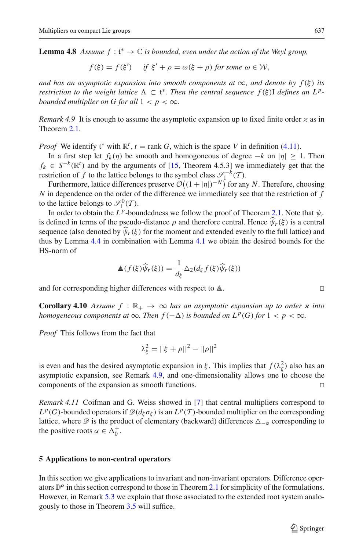**Lemma 4.8** *Assume*  $f: t^* \to \mathbb{C}$  *is bounded, even under the action of the Weyl group,* 

$$
f(\xi) = f(\xi')
$$
 if  $\xi' + \rho = \omega(\xi + \rho)$  for some  $\omega \in \mathcal{W}$ ,

*and has an asymptotic expansion into smooth components at*  $\infty$ *, and denote by*  $f(\xi)$  *its restriction to the weight lattice*  $\Lambda \subset \mathfrak{t}^*$ *. Then the central sequence*  $f(\xi)$ *I defines an L<sup>p</sup>-*<br>bounded multiplier on G for all  $1 \leq n \leq \infty$ *bounded multiplier on G for all*  $1 < p < \infty$ *.* 

<span id="page-16-2"></span>*Remark 4.9* It is enough to assume the asymptotic expansion up to fixed finite order  $\alpha$  as in Theorem [2.1.](#page-4-0)

*Proof* We identify  $t^*$  with  $\mathbb{R}^t$ ,  $t = \text{rank } G$ , which is the space *V* in definition [\(4.11\)](#page-15-0).<br>In a first step let  $f_t(n)$  be smooth and homogoneous of degree  $-k$  on  $|n| > t$ 

In a first step let  $f_k(\eta)$  be smooth and homogoneous of degree  $-k$  on  $|\eta| \ge 1$ . Then  $f_k \in S^{-k}(\mathbb{R}^t)$  and by the arguments of [\[15](#page-20-8), Theorem 4.5.3] we immediately get that the restriction of *f* to the lattice belongs to the symbol class  $\mathscr{S}_1^{-k}(\mathcal{T})$ . mogoneous o<br>
Fheorem 4.5.<br>
hbol class  $\mathcal{S}_1$ <br>  $(1 + |\eta|)^{-N}$ 

Furthermore, lattice differences preserve  $\mathcal{O}((1+|\eta|)^{-N})$  for any *N*. Therefore, choosing *N* in dependence on the order of the difference we immediately see that the restriction of *f* to the lattice belongs to  $\mathcal{S}_1^0(\mathcal{T})$ .

In order to obtain the  $L^p$ -boundedness we follow the proof of Theorem [2.1.](#page-4-0) Note that  $\psi_r$ is defined in terms of the pseudo-distance  $\rho$  and therefore central. Hence  $\psi_r(\xi)$  is a central sequence (also denoted by  $\psi_r(\xi)$  for the moment and extended evenly to the full lattice) and thus by Lemma [4.4](#page-14-2) in combination with Lemma [4.1](#page-12-4) we obtain the desired bounds for the --HS-norm of

$$
\mathbb{A}(f(\xi)\widehat{\psi}_r(\xi)) = \frac{1}{d_{\xi}} \Delta_2(d_{\xi}f(\xi)\widehat{\psi}_r(\xi))
$$

and for corresponding higher differences with respect to  $\triangle$ .

<span id="page-16-1"></span>**Corollary 4.10** Assume  $f : \mathbb{R}_+ \to \infty$  has an asymptotic expansion up to order x into *homogeneous components at*  $\infty$ *. Then*  $f(-\Delta)$  *is bounded on*  $L^p(G)$  *for*  $1 < p < \infty$ *.* 

*Proof* This follows from the fact that

$$
\lambda_{\xi}^{2} = ||\xi + \rho||^{2} - ||\rho||^{2}
$$

is even and has the desired asymptotic expansion in  $\xi$ . This implies that  $f(\lambda_{\xi}^2)$  also has an asymptotic expansion, see Remark [4.9,](#page-16-2) and one-dimensionality allows one to choose the components of the expansion as smooth functions.  $\Box$ 

*Remark 4.11* Coifman and G. Weiss showed in [\[7\]](#page-20-16) that central multipliers correspond to  $L^p(G)$ -bounded operators if  $\mathcal{D}(d_\xi \sigma_\xi)$  is an  $L^p(\mathcal{T})$ -bounded multiplier on the corresponding lattice, where  $\mathscr D$  is the product of elementary (backward) differences  $\Delta_{-\alpha}$  corresponding to the positive roots  $\alpha \in \Delta_0^+$ .

#### <span id="page-16-0"></span>**5 Applications to non-central operators**

In this section we give applications to invariant and non-invariant operators. Difference operators  $\mathbb{D}^{\alpha}$  in this section correspond to those in Theorem [2.1](#page-4-0) for simplicity of the formulations. However, in Remark [5.3](#page-19-1) we explain that those associated to the extended root system analogously to those in Theorem [3.5](#page-11-0) will suffice.

$$
\Box
$$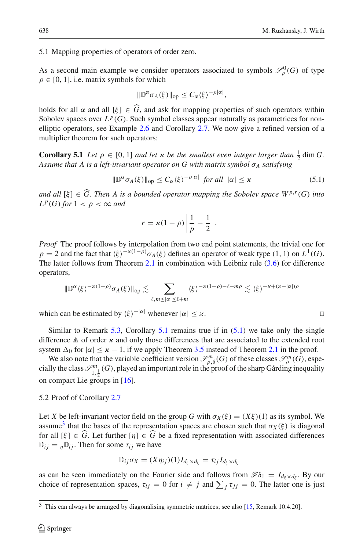5.1 Mapping properties of operators of order zero.

As a second main example we consider operators associated to symbols  $\mathcal{S}_{\rho}^{0}(G)$  of type  $\rho \in [0, 1]$ , i.e. matrix symbols for which

$$
\|\mathbb{D}^{\alpha}\sigma_A(\xi)\|_{\text{op}} \leq C_{\alpha}\langle \xi \rangle^{-\rho|\alpha|},
$$

holds for all  $\alpha$  and all  $[\xi] \in G$ , and ask for mapping properties of such operators within Sobolev spaces over  $L^p(G)$ . Such symbol classes appear naturally as parametrices for nonelliptic operators, see Example [2.6](#page-5-0) and Corollary [2.7.](#page-5-1) We now give a refined version of a multiplier theorem for such operators:

<span id="page-17-0"></span>**Corollary 5.1** *Let*  $\rho \in [0, 1]$  *and let*  $x$  *be the smallest even integer larger than*  $\frac{1}{2}$  dim *G*. *Assume that A is a left-invariant operator on G with matrix symbol*  $\sigma_A$  *satisfying* 

$$
\|\mathbb{D}^{\alpha}\sigma_A(\xi)\|_{\text{op}} \le C_{\alpha}\langle \xi \rangle^{-\rho|\alpha|} \text{ for all } |\alpha| \le \varkappa \tag{5.1}
$$

<span id="page-17-1"></span>*and all*  $[\xi] \in \widehat{G}$ . *Then A is a bounded operator mapping the Sobolev space W<sup><i>p*,*r*</sup>(*G*) *into*<br>*and all*  $[\xi] \in \widehat{G}$ . *Then A is a bounded operator mapping the Sobolev space W<sup><i>p*,*r*</sup>(*G*) *into*  $L^p(G)$  *for*  $1 < p < \infty$  *and* ii

$$
r = \varkappa (1 - \rho) \left| \frac{1}{p} - \frac{1}{2} \right|.
$$

*Proof* The proof follows by interpolation from two end point statements, the trivial one for  $p = 2$  and the fact that  $\langle \xi \rangle^{-\alpha(1-\rho)} \sigma_A(\xi)$  defines an operator of weak type (1, 1) on *L*<sup>1</sup>(*G*). The latter follows from Theorem [2.1](#page-4-0) in combination with Leibniz rule [\(3.6\)](#page-10-1) for difference operators,

$$
\|\mathbb{D}^{\alpha}\langle\xi\rangle^{-\varkappa(1-\rho)}\sigma_A(\xi)\|_{\text{op}}\lesssim \sum_{\ell,m\leq|\alpha|\leq\ell+m}\langle\xi\rangle^{-\varkappa(1-\rho)-\ell-m\rho}\lesssim \langle\xi\rangle^{-\varkappa+(\varkappa-|\alpha|)\rho}
$$

which can be estimated by  $\langle \xi \rangle^{-|\alpha|}$  whenever  $|\alpha| \leq \varkappa$ .

Similar to Remark [5.3,](#page-19-1) Corollary [5.1](#page-17-0) remains true if in  $(5.1)$  we take only the single difference  $\triangle$  of order  $\chi$  and only those differences that are associated to the extended root system  $\Delta_0$  for  $|\alpha| \leq x - 1$ , if we apply Theorem [3.5](#page-11-0) instead of Theorem [2.1](#page-4-0) in the proof.

We also note that the variable coefficient version  $\mathcal{S}_{\rho,\delta}^m(G)$  of these classes  $\mathcal{S}_{\rho}^m(G)$ , especially the class  $\mathcal{S}^m_{1,\frac{1}{2}}(G)$ , played an important role in the proof of the sharp Gårding inequality on compact Lie groups in [\[16\]](#page-20-17).

5.2 Proof of Corollary [2.7](#page-5-1)

Let *X* be left-invariant vector field on the group *G* with  $\sigma_X(\xi) = (X\xi)(1)$  as its symbol. We assume<sup>[3](#page-17-2)</sup> that the bases of the representation spaces are chosen such that  $\sigma_X(\xi)$  is diagonal for all  $[\xi] \in G$ . Let further  $[\eta] \in G$  be a fixed representation with associated differences  $\mathbb{D}_{ij} = n \mathbb{D}_{ij}$ . Then for some  $\tau_{ij}$  we have

$$
\mathbb{D}_{ij}\sigma_X = (X\eta_{ij})(1)I_{d_{\xi}\times d_{\xi}} = \tau_{ij}I_{d_{\xi}\times d_{\xi}}
$$

as can be seen immediately on the Fourier side and follows from  $\mathscr{F}\delta_1 = I_{d_\xi \times d_\xi}$ . By our  $\mathbb{D}_{ij}\sigma_X = (X\eta_{ij})(1)I_{d_{\xi}\times d_{\xi}} = \tau_{ij}I_{d_{\xi}\times d_{\xi}}$ <br>as can be seen immediately on the Fourier side and follows from  $\mathscr{F}\delta_1 = I_{d_{\xi}\times d_{\xi}}$ . By our<br>choice of representation spaces,  $\tau_{ij} = 0$  for  $i \neq j$  and  $\sum_j \tau_{jj$ 

$$
\Box
$$

<span id="page-17-2"></span><sup>&</sup>lt;sup>3</sup> This can always be arranged by diagonalising symmetric matrices; see also [\[15](#page-20-8), Remark 10.4.20].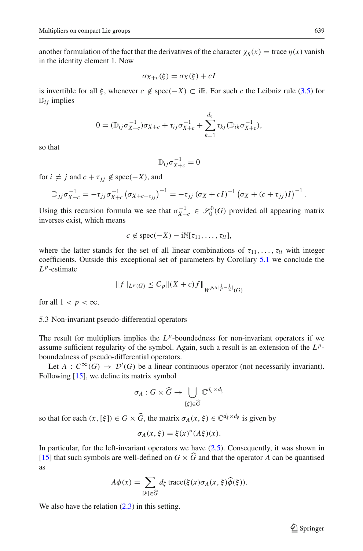another formulation of the fact that the derivatives of the character  $\chi_n(x) =$  trace  $\eta(x)$  vanish in the identity element 1. Now

$$
\sigma_{X+c}(\xi) = \sigma_X(\xi) + cI
$$

is invertible for all  $\xi$ , whenever  $c \notin \text{spec}(-X) \subset \text{iR}$ . For such  $c$  the Leibniz rule [\(3.5\)](#page-10-0) for<br>  $\mathbb{D}_{ij}$  implies<br>  $0 = (\mathbb{D}_{ij}\sigma_{X+c}^{-1})\sigma_{X+c} + \tau_{ij}\sigma_{X+c}^{-1} + \sum_{k=1}^{d_{\eta}} \tau_{kj}(\mathbb{D}_{ik}\sigma_{X+c}^{-1}),$  $D_{ij}$  implies

$$
0 = (\mathbb{D}_{ij}\sigma_{X+c}^{-1})\sigma_{X+c} + \tau_{ij}\sigma_{X+c}^{-1} + \sum_{k=1}^{d_{\eta}} \tau_{kj}(\mathbb{D}_{ik}\sigma_{X+c}^{-1}),
$$

so that

$$
\mathbb{D}_{ij}\sigma_{X+c}^{-1}=0
$$

for  $i \neq j$  and  $c + \tau_{ii} \notin \text{spec}(-X)$ , and

$$
\mathbb{D}_{ij}\sigma_{X+c}^{-1} = 0
$$
  
\n $i \neq j$  and  $c + \tau_{jj} \notin \text{spec}(-X)$ , and  
\n
$$
\mathbb{D}_{jj}\sigma_{X+c}^{-1} = -\tau_{jj}\sigma_{X+c}^{-1}(\sigma_{X+c+\tau_{jj}})^{-1} = -\tau_{jj}(\sigma_X + cI)^{-1}(\sigma_X + (c + \tau_{jj})I)^{-1}.
$$

Using this recursion formula we see that  $\sigma_{X+c}^{-1} \in \mathcal{S}_0^0(G)$  provided all appearing matrix inverses exist, which means

$$
c \notin \text{spec}(-X) - i\mathbb{N}[\tau_{11}, \ldots, \tau_{ll}],
$$

where the latter stands for the set of all linear combinations of  $\tau_{11},\ldots,\tau_{ll}$  with integer coefficients. Outside this exceptional set of parameters by Corollary [5.1](#page-17-0) we conclude the  $L^p$ -estimate

$$
||f||_{L^p(G)} \le C_p ||(X+c)f||_{W^{p,\times \left|\frac{1}{p}-\frac{1}{2}\right|}(G)}
$$

for all  $1 < p < \infty$ .

<span id="page-18-0"></span>5.3 Non-invariant pseudo-differential operators

The result for multipliers implies the  $L^p$ -boundedness for non-invariant operators if we assume sufficient regularity of the symbol. Again, such a result is an extension of the *L <sup>p</sup>*boundedness of pseudo-differential operators.

Let *A* :  $C^{\infty}(G) \to \mathcal{D}'(G)$  be a linear continuous operator (not necessarily invariant).<br>
Ilowing [15], we define its matrix symbol<br>  $\sigma_A : G \times \widehat{G} \to \bigcup C^{d_{\xi} \times d_{\xi}}$ Following  $[15]$ , we define its matrix symbol

$$
\sigma_A:G\times \widehat{G}\to \bigcup_{[\xi]\in \widehat{G}}\mathbb{C}^{d_{\xi}\times d_{\xi}}
$$

so that for each  $(x, [\xi]) \in G \times \widehat{G}$ , the matrix  $\sigma_A(x, \xi) \in \mathbb{C}^{d_{\xi} \times d_{\xi}}$  is given by

$$
\sigma_A(x,\xi) = \xi(x)^*(A\xi)(x).
$$

In particular, for the left-invariant operators we have  $(2.5)$ . Consequently, it was shown in [\[15\]](#page-20-8) that such symbols are well-defined on  $G \times G$  and that the operator *A* can be quantised as *A* $\phi(x) = \sum_{k=1}^{n} d_k \operatorname{trace}(\xi(x)) \sigma_A(x, \xi) \widehat{\phi}(\xi)$ .<br> *A* $\phi(x) = \sum_{k=1}^{n} d_k \operatorname{trace}(\xi(x)) \sigma_A(x, \xi) \widehat{\phi}(\xi)$ .

$$
A\phi(x) = \sum_{\{\xi\} \in \widehat{G}} d_{\xi} \operatorname{trace}(\xi(x)\sigma_A(x,\xi)\widehat{\phi}(\xi)).
$$

We also have the relation  $(2.3)$  in this setting.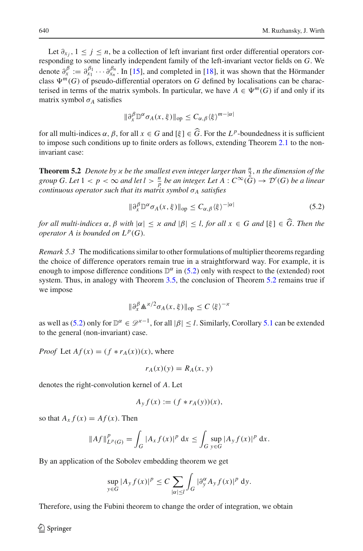Let  $\partial_{x_i}$ ,  $1 \leq j \leq n$ , be a collection of left invariant first order differential operators corresponding to some linearly independent family of the left-invariant vector fields on *G*. We denote  $\partial_x^{\beta} := \partial_{x_1}^{\beta_1} \cdots \partial_{x_n}^{\beta_n}$ . In [\[15\]](#page-20-8), and completed in [\[18\]](#page-20-9), it was shown that the Hörmander class  $\Psi^m(G)$  of pseudo-differential operators on *G* defined by localisations can be characterised in terms of the matrix symbols. In particular, we have  $A \in \Psi^m(G)$  if and only if its matrix symbol  $\sigma_A$  satisfies

$$
\|\partial_x^{\beta} \mathbb{D}^{\alpha} \sigma_A(x,\xi)\|_{\text{op}} \leq C_{\alpha,\beta} \langle \xi \rangle^{m-|\alpha|}
$$

for all multi-indices  $\alpha$ ,  $\beta$ , for all  $x \in G$  and  $[\xi] \in \widehat{G}$ . For the  $L^p$ -boundedness it is sufficient to impose such conditions up to finite orders as follows, extending Theorem [2.1](#page-4-0) to the noninvariant case:

<span id="page-19-0"></span>**Theorem 5.2** *Denote by*  $x$  *be the smallest even integer larger than*  $\frac{n}{2}$ *, n the dimension of the group G. Let*  $1 < p < \infty$  *and let*  $l > \frac{n}{p}$  *be an integer. Let*  $A: C^{\infty}(\overline{G}) \to \mathcal{D}'(G)$  *be a linear continuous operator such that its matrix symbol* σ*<sup>A</sup> satisfies*

$$
\|\partial_x^{\beta} \mathbb{D}^{\alpha} \sigma_A(x,\xi)\|_{\text{op}} \le C_{\alpha,\beta} \langle \xi \rangle^{-|\alpha|} \tag{5.2}
$$

<span id="page-19-2"></span>*for all multi-indices*  $\alpha$ ,  $\beta$  *with*  $|\alpha| \leq x$  *and*  $|\beta| \leq l$ , *for all*  $x \in G$  *and*  $[\xi] \in \widehat{G}$ . Then the *operator A is bounded on*  $L^p(G)$ *.* 

<span id="page-19-1"></span>*Remark 5.3* The modifications similar to other formulations of multiplier theorems regarding the choice of difference operators remain true in a straightforward way. For example, it is enough to impose difference conditions  $\mathbb{D}^{\alpha}$  in [\(5.2\)](#page-19-2) only with respect to the (extended) root system. Thus, in analogy with Theorem [3.5,](#page-11-0) the conclusion of Theorem [5.2](#page-19-0) remains true if we impose

$$
\|\partial_x^{\beta} \mathbb{A}^{\kappa/2} \sigma_A(x,\xi)\|_{\text{op}} \le C \langle \xi \rangle^{-\kappa}
$$

as well as [\(5.2\)](#page-19-2) only for  $\mathbb{D}^{\alpha} \in \mathscr{D}^{\alpha-1}$ , for all  $|\beta| \leq l$ . Similarly, Corollary [5.1](#page-17-0) can be extended to the general (non-invariant) case.

*Proof* Let  $Af(x) = (f * r_A(x))(x)$ , where

$$
r_A(x)(y) = R_A(x, y)
$$

denotes the right-convolution kernel of *A*. Let

$$
A_y f(x) := (f * r_A(y))(x),
$$

so that  $A_x f(x) = Af(x)$ . Then

$$
||Af||_{L^p(G)}^p = \int_G |A_x f(x)|^p dx \le \int_G \sup_{y \in G} |A_y f(x)|^p dx.
$$

By an application of the Sobolev embedding theorem we get

the Sobolev embedding theorem we get  
\n
$$
\sup_{y \in G} |A_y f(x)|^p \le C \sum_{|\alpha| \le l} \int_G |\partial_y^{\alpha} A_y f(x)|^p dy.
$$

Therefore, using the Fubini theorem to change the order of integration, we obtain

 $\mathcal{L}$  Springer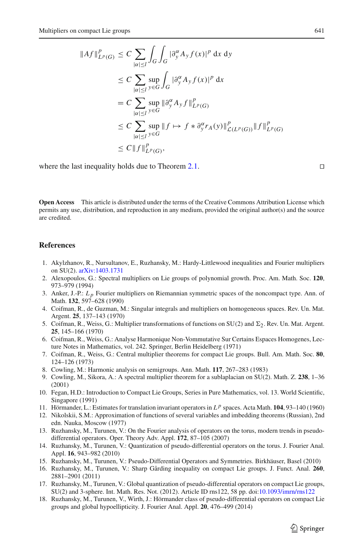compact Lie groups

\n
$$
\|Af\|_{L^p(G)}^p \leq C \sum_{|\alpha| \leq l} \int_G \int_G |\partial_y^{\alpha} A_y f(x)|^p \, \mathrm{d}x \, \mathrm{d}y
$$
\n
$$
\leq C \sum_{|\alpha| \leq l} \sup_{y \in G} \int_G |\partial_y^{\alpha} A_y f(x)|^p \, \mathrm{d}x
$$
\n
$$
= C \sum_{|\alpha| \leq l} \sup_{y \in G} \|\partial_y^{\alpha} A_y f\|_{L^p(G)}^p
$$
\n
$$
\leq C \sum_{|\alpha| \leq l} \sup_{y \in G} \|f \mapsto f * \partial_y^{\alpha} r_A(y)\|_{\mathcal{L}(L^p(G))}^p \|f\|_{L^p(G)}^p
$$
\n
$$
\leq C \|f\|_{L^p(G)}^p,
$$

where the last inequality holds due to Theorem [2.1.](#page-4-0)  $\Box$ 

**Open Access** This article is distributed under the terms of the Creative Commons Attribution License which permits any use, distribution, and reproduction in any medium, provided the original author(s) and the source are credited.

### <span id="page-20-11"></span>**References**

- 1. Akylzhanov, R., Nursultanov, E., Ruzhansky, M.: Hardy-Littlewood inequalities and Fourier multipliers on SU(2). [arXiv:1403.1731](http://arxiv.org/abs/1403.1731)
- <span id="page-20-2"></span>2. Alexopoulos, G.: Spectral multipliers on Lie groups of polynomial growth. Proc. Am. Math. Soc. **120**, 973–979 (1994)
- <span id="page-20-4"></span>3. Anker, J.-P.: *L p* Fourier multipliers on Riemannian symmetric spaces of the noncompact type. Ann. of Math. **132**, 597–628 (1990)
- <span id="page-20-5"></span>4. Coifman, R., de Guzman, M.: Singular integrals and multipliers on homogeneous spaces. Rev. Un. Mat. Argent. **25**, 137–143 (1970)
- <span id="page-20-0"></span>5. Coifman, R., Weiss, G.: Multiplier transformations of functions on SU(2) and  $\Sigma_2$ . Rev. Un. Mat. Argent. **25**, 145–166 (1970)
- <span id="page-20-6"></span>6. Coifman, R., Weiss, G.: Analyse Harmonique Non-Vommutative Sur Certains Espaces Homogenes, Lecture Notes in Mathematics, vol. 242. Springer, Berlin Heidelberg (1971)
- <span id="page-20-16"></span>7. Coifman, R., Weiss, G.: Central multiplier theorems for compact Lie groups. Bull. Am. Math. Soc. **80**, 124–126 (1973)
- <span id="page-20-1"></span>8. Cowling, M.: Harmonic analysis on semigroups. Ann. Math. **117**, 267–283 (1983)
- 9. Cowling, M., Sikora, A.: A spectral multiplier theorem for a sublaplacian on SU(2). Math. Z. **238**, 1–36 (2001)
- <span id="page-20-15"></span><span id="page-20-3"></span>10. Fegan, H.D.: Introduction to Compact Lie Groups, Series in Pure Mathematics, vol. 13. World Scientific, Singapore (1991)
- <span id="page-20-12"></span>11. Hörmander, L.: Estimates for translation invariant operators in *L <sup>p</sup>* spaces. Acta Math. **104**, 93–140 (1960)
- <span id="page-20-10"></span>12. Nikolskii, S.M.: Approximation of functions of several variables and imbedding theorems (Russian), 2nd edn. Nauka, Moscow (1977)
- <span id="page-20-14"></span>13. Ruzhansky, M., Turunen, V.: On the Fourier analysis of operators on the torus, modern trends in pseudodifferential operators. Oper. Theory Adv. Appl. **172**, 87–105 (2007)
- <span id="page-20-13"></span>14. Ruzhansky, M., Turunen, V.: Quantization of pseudo-differential operators on the torus. J. Fourier Anal. Appl. **16**, 943–982 (2010)
- <span id="page-20-8"></span>15. Ruzhansky, M., Turunen, V.: Pseudo-Differential Operators and Symmetries. Birkhäuser, Basel (2010)
- <span id="page-20-17"></span>16. Ruzhansky, M., Turunen, V.: Sharp Gårding inequality on compact Lie groups. J. Funct. Anal. **260**, 2881–2901 (2011)
- <span id="page-20-7"></span>17. Ruzhansky, M., Turunen, V.: Global quantization of pseudo-differential operators on compact Lie groups, SU(2) and 3-sphere. Int. Math. Res. Not. (2012). Article ID rns122, 58 pp. doi[:10.1093/imrn/rns122](http://dx.doi.org/10.1093/imrn/rns122)
- <span id="page-20-9"></span>18. Ruzhansky, M., Turunen, V., Wirth, J.: Hörmander class of pseudo-differential operators on compact Lie groups and global hypoellipticity. J. Fourier Anal. Appl. **20**, 476–499 (2014)